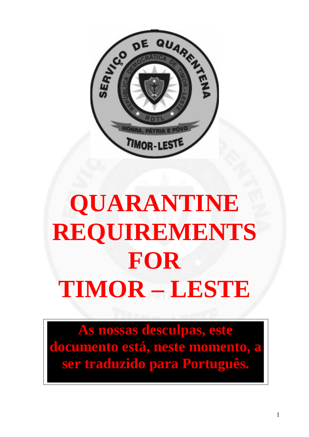

# **QUARANTINE REQUIREMENTS FOR TIMOR – LESTE**

**As nossas desculpas, este documento está, neste momento, a ser traduzido para Português.**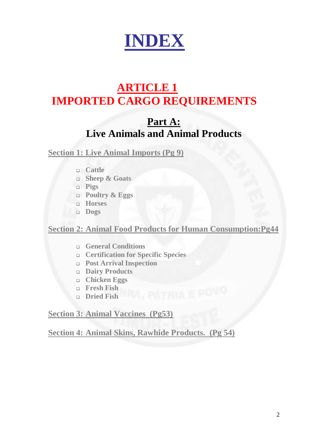

## **ARTICLE 1 IMPORTED CARGO REQUIREMENTS**

## **Part A: Live Animals and Animal Products**

**Section 1: Live Animal Imports (Pg 9)**

- **Cattle**
- **Sheep & Goats**
- **Pigs**
- **Poultry & Eggs**
- **Horses**
- **Dogs**

**Section 2: Animal Food Products for Human Consumption:Pg44** 

- **General Conditions**
- **Certification for Specific Species**
- **Post Arrival Inspection**
- **Dairy Products**
- **Chicken Eggs**<br> **Chicken Eggs**
- **Fresh Fish**
- **Dried Fish**

**Section 3: Animal Vaccines (Pg53)**

**Section 4: Animal Skins, Rawhide Products. (Pg 54)**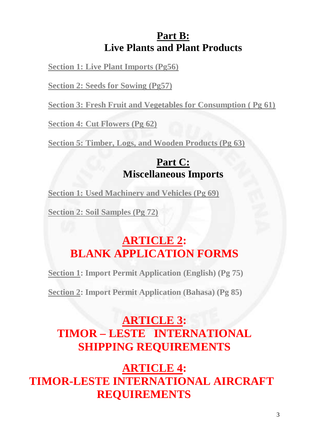## **Part B: Live Plants and Plant Products**

**Section 1: Live Plant Imports (Pg56)**

**Section 2: Seeds for Sowing (Pg57)**

**Section 3: Fresh Fruit and Vegetables for Consumption ( Pg 61)**

**Section 4: Cut Flowers (Pg 62)**

**Section 5: Timber, Logs, and Wooden Products (Pg 63)**

### **Part C: Miscellaneous Imports**

**Section 1: Used Machinery and Vehicles (Pg 69)**

**Section 2: Soil Samples (Pg 72)**

## **ARTICLE 2: BLANK APPLICATION FORMS**

**Section 1: Import Permit Application (English) (Pg 75)** 

**Section 2: Import Permit Application (Bahasa) (Pg 85)**

## **ARTICLE 3: TIMOR – LESTE INTERNATIONAL SHIPPING REQUIREMENTS**

**ARTICLE 4: TIMOR-LESTE INTERNATIONAL AIRCRAFT REQUIREMENTS**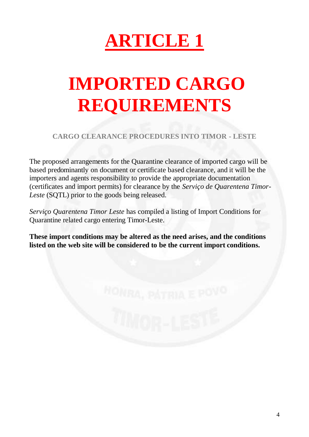

## **IMPORTED CARGO REQUIREMENTS**

**CARGO CLEARANCE PROCEDURES INTO TIMOR - LESTE** 

The proposed arrangements for the Quarantine clearance of imported cargo will be based predominantly on document or certificate based clearance, and it will be the importers and agents responsibility to provide the appropriate documentation (certificates and import permits) for clearance by the *Serviço de Quarentena Timor-Leste* (SQTL) prior to the goods being released.

*Serviço Quarentena Timor Leste* has compiled a listing of Import Conditions for Quarantine related cargo entering Timor-Leste.

**These import conditions may be altered as the need arises, and the conditions listed on the web site will be considered to be the current import conditions.**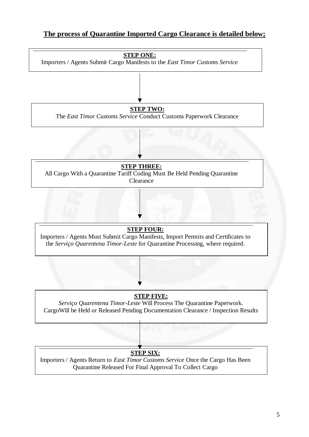#### **The process of Quarantine Imported Cargo Clearance is detailed below;**

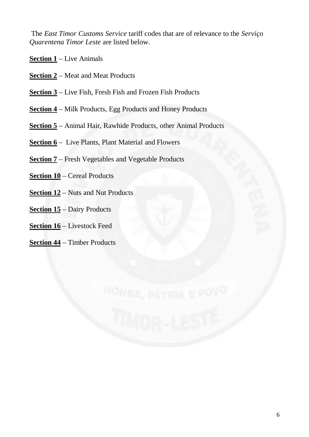The *East Timor Customs Service* tariff codes that are of relevance to the *Serviço Quarentena Timor Leste* are listed below.

- **Section 1** Live Animals
- **Section 2** Meat and Meat Products
- **Section 3** Live Fish, Fresh Fish and Frozen Fish Products
- **Section 4** Milk Products, Egg Products and Honey Products
- **Section 5** Animal Hair, Rawhide Products, other Animal Products
- **<u>Section 6</u>** Live Plants, Plant Material and Flowers
- **Section 7** Fresh Vegetables and Vegetable Products
- **Section 10** Cereal Products
- **Section 12** Nuts and Nut Products
- **Section 15** Dairy Products
- **Section 16** Livestock Feed
- **Section 44** Timber Products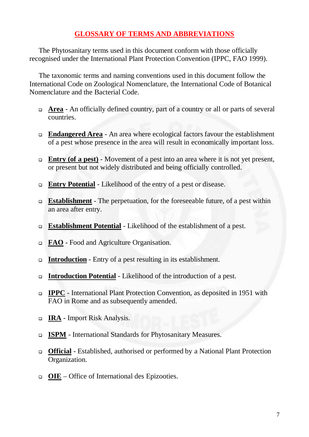#### **GLOSSARY OF TERMS AND ABBREVIATIONS**

 The Phytosanitary terms used in this document conform with those officially recognised under the International Plant Protection Convention (IPPC, FAO 1999).

 The taxonomic terms and naming conventions used in this document follow the International Code on Zoological Nomenclature, the International Code of Botanical Nomenclature and the Bacterial Code.

- **Area** An officially defined country, part of a country or all or parts of several countries.
- **Endangered Area** An area where ecological factors favour the establishment of a pest whose presence in the area will result in economically important loss.
- □ **Entry (of a pest)** Movement of a pest into an area where it is not yet present, or present but not widely distributed and being officially controlled.
- **Entry Potential** Likelihood of the entry of a pest or disease.
- **Establishment** The perpetuation, for the foreseeable future, of a pest within an area after entry.
- **Establishment Potential** Likelihood of the establishment of a pest.
- **FAO** Food and Agriculture Organisation.
- **Introduction** Entry of a pest resulting in its establishment.
- **Introduction Potential** Likelihood of the introduction of a pest.
- **IPPC** International Plant Protection Convention, as deposited in 1951 with FAO in Rome and as subsequently amended.
- **IRA** Import Risk Analysis.
- **ISPM** International Standards for Phytosanitary Measures.
- **Official** Established, authorised or performed by a National Plant Protection Organization.
- **OIE** Office of International des Epizooties.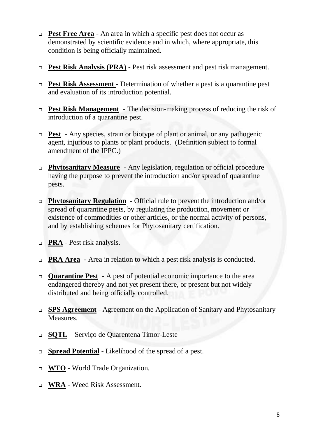- **Pest Free Area** An area in which a specific pest does not occur as demonstrated by scientific evidence and in which, where appropriate, this condition is being officially maintained.
- **Pest Risk Analysis (PRA)** Pest risk assessment and pest risk management.
- **Pest Risk Assessment**  Determination of whether a pest is a quarantine pest and evaluation of its introduction potential.
- **Pest Risk Management** The decision-making process of reducing the risk of introduction of a quarantine pest.
- **Pest** Any species, strain or biotype of plant or animal, or any pathogenic agent, injurious to plants or plant products. (Definition subject to formal amendment of the IPPC.)
- **Phytosanitary Measure** Any legislation, regulation or official procedure having the purpose to prevent the introduction and/or spread of quarantine pests.
- **Phytosanitary Regulation** Official rule to prevent the introduction and/or spread of quarantine pests, by regulating the production, movement or existence of commodities or other articles, or the normal activity of persons, and by establishing schemes for Phytosanitary certification.
- **PRA** Pest risk analysis.
- **PRA Area** Area in relation to which a pest risk analysis is conducted.
- **Quarantine Pest** A pest of potential economic importance to the area endangered thereby and not yet present there, or present but not widely distributed and being officially controlled.
- **SPS Agreement** Agreement on the Application of Sanitary and Phytosanitary Measures.
- **SQTL** Serviço de Quarentena Timor-Leste
- **Spread Potential** Likelihood of the spread of a pest.
- **WTO** World Trade Organization.
- **WRA** Weed Risk Assessment.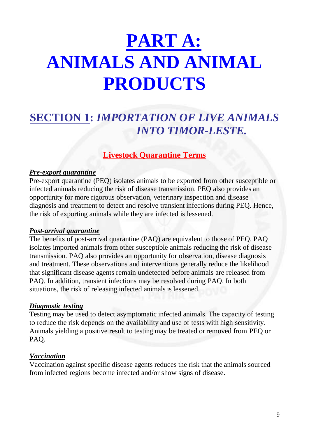## **PART A: ANIMALS AND ANIMAL PRODUCTS**

## **SECTION 1:** *IMPORTATION OF LIVE ANIMALS INTO TIMOR-LESTE.*

#### **Livestock Quarantine Terms**

#### *Pre-export quarantine*

Pre-export quarantine (PEQ) isolates animals to be exported from other susceptible or infected animals reducing the risk of disease transmission. PEQ also provides an opportunity for more rigorous observation, veterinary inspection and disease diagnosis and treatment to detect and resolve transient infections during PEQ. Hence, the risk of exporting animals while they are infected is lessened.

#### *Post-arrival quarantine*

The benefits of post-arrival quarantine (PAQ) are equivalent to those of PEQ. PAQ isolates imported animals from other susceptible animals reducing the risk of disease transmission. PAQ also provides an opportunity for observation, disease diagnosis and treatment. These observations and interventions generally reduce the likelihood that significant disease agents remain undetected before animals are released from PAQ. In addition, transient infections may be resolved during PAQ. In both situations, the risk of releasing infected animals is lessened.

#### *Diagnostic testing*

Testing may be used to detect asymptomatic infected animals. The capacity of testing to reduce the risk depends on the availability and use of tests with high sensitivity. Animals yielding a positive result to testing may be treated or removed from PEQ or PAQ.

#### *Vaccination*

Vaccination against specific disease agents reduces the risk that the animals sourced from infected regions become infected and/or show signs of disease.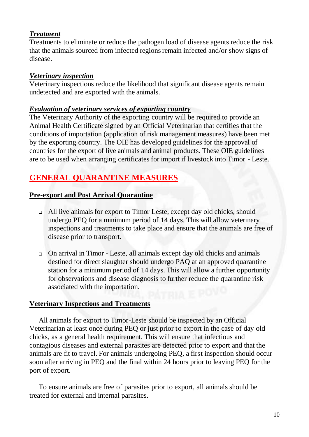#### *Treatment*

Treatments to eliminate or reduce the pathogen load of disease agents reduce the risk that the animals sourced from infected regions remain infected and/or show signs of disease.

#### *Veterinary inspection*

Veterinary inspections reduce the likelihood that significant disease agents remain undetected and are exported with the animals.

#### *Evaluation of veterinary services of exporting country*

The Veterinary Authority of the exporting country will be required to provide an Animal Health Certificate signed by an Official Veterinarian that certifies that the conditions of importation (application of risk management measures) have been met by the exporting country. The OIE has developed guidelines for the approval of countries for the export of live animals and animal products. These OIE guidelines are to be used when arranging certificates for import if livestock into Timor - Leste.

### **GENERAL QUARANTINE MEASURES**

#### **Pre-export and Post Arrival Quarantine**

- All live animals for export to Timor Leste, except day old chicks, should undergo PEQ for a minimum period of 14 days. This will allow veterinary inspections and treatments to take place and ensure that the animals are free of disease prior to transport.
- On arrival in Timor Leste, all animals except day old chicks and animals destined for direct slaughter should undergo PAQ at an approved quarantine station for a minimum period of 14 days. This will allow a further opportunity for observations and disease diagnosis to further reduce the quarantine risk associated with the importation.

#### **Veterinary Inspections and Treatments**

 All animals for export to Timor-Leste should be inspected by an Official Veterinarian at least once during PEQ or just prior to export in the case of day old chicks, as a general health requirement. This will ensure that infectious and contagious diseases and external parasites are detected prior to export and that the animals are fit to travel. For animals undergoing PEQ, a first inspection should occur soon after arriving in PEQ and the final within 24 hours prior to leaving PEQ for the port of export.

 To ensure animals are free of parasites prior to export, all animals should be treated for external and internal parasites.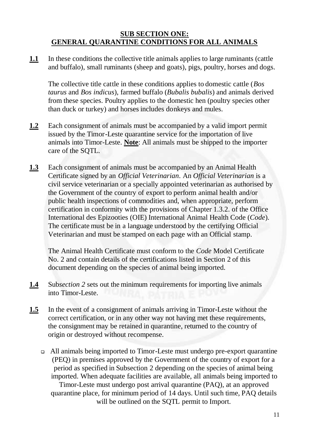#### **SUB SECTION ONE: GENERAL QUARANTINE CONDITIONS FOR ALL ANIMALS**

**1.1** In these conditions the collective title animals applies to large ruminants (cattle and buffalo), small ruminants (sheep and goats), pigs, poultry, horses and dogs.

The collective title cattle in these conditions applies to domestic cattle (*Bos taurus* and *Bos indicus*), farmed buffalo (*Bubalis bubalis*) and animals derived from these species. Poultry applies to the domestic hen (poultry species other than duck or turkey) and horses includes donkeys and mules.

- **1.2** Each consignment of animals must be accompanied by a valid import permit issued by the Timor-Leste quarantine service for the importation of live animals into Timor-Leste. **Note**: All animals must be shipped to the importer care of the SQTL.
- **1.3** Each consignment of animals must be accompanied by an Animal Health Certificate signed by an *Official Veterinarian*. An *Official Veterinarian* is a civil service veterinarian or a specially appointed veterinarian as authorised by the Government of the country of export to perform animal health and/or public health inspections of commodities and, when appropriate, perform certification in conformity with the provisions of Chapter 1.3.2. of the Office International des Epizooties (OIE) International Animal Health Code (*Code*). The certificate must be in a language understood by the certifying Official Veterinarian and must be stamped on each page with an Official stamp.

The Animal Health Certificate must conform to the *Code* Model Certificate No. 2 and contain details of the certifications listed in Section 2 of this document depending on the species of animal being imported.

- **1.4** Sub*section 2* sets out the minimum requirements for importing live animals into Timor-Leste.
- **1.5** In the event of a consignment of animals arriving in Timor-Leste without the correct certification, or in any other way not having met these requirements, the consignment may be retained in quarantine, returned to the country of origin or destroyed without recompense.
	- All animals being imported to Timor-Leste must undergo pre-export quarantine (PEQ) in premises approved by the Government of the country of export for a period as specified in Subsection 2 depending on the species of animal being imported. When adequate facilities are available, all animals being imported to Timor-Leste must undergo post arrival quarantine (PAQ), at an approved quarantine place, for minimum period of 14 days. Until such time, PAQ details will be outlined on the SQTL permit to Import.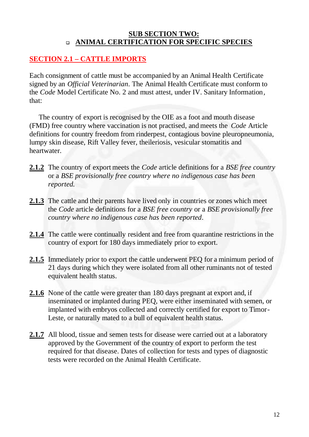#### **SUB SECTION TWO: ANIMAL CERTIFICATION FOR SPECIFIC SPECIES**

#### **SECTION 2.1 – CATTLE IMPORTS**

Each consignment of cattle must be accompanied by an Animal Health Certificate signed by an *Official Veterinarian*. The Animal Health Certificate must conform to the *Code* Model Certificate No. 2 and must attest, under IV. Sanitary Information*,* that:

 The country of export is recognised by the OIE as a foot and mouth disease (FMD) free country where vaccination is not practised, and meets the *Code* Article definitions for country freedom from rinderpest, contagious bovine pleuropneumonia, lumpy skin disease, Rift Valley fever, theileriosis, vesicular stomatitis and heartwater.

- **2.1.2** The country of export meets the *Code* article definitions for a *BSE free country* or a *BSE provisionally free country where no indigenous case has been reported.*
- **2.1.3** The cattle and their parents have lived only in countries or zones which meet the *Code* article definitions for a *BSE free country* or a *BSE provisionally free country where no indigenous case has been reported*.
- **2.1.4** The cattle were continually resident and free from quarantine restrictions in the country of export for 180 days immediately prior to export.
- **2.1.5** Immediately prior to export the cattle underwent PEQ for a minimum period of 21 days during which they were isolated from all other ruminants not of tested equivalent health status.
- **2.1.6** None of the cattle were greater than 180 days pregnant at export and, if inseminated or implanted during PEQ, were either inseminated with semen, or implanted with embryos collected and correctly certified for export to Timor-Leste, or naturally mated to a bull of equivalent health status.
- **2.1.7** All blood, tissue and semen tests for disease were carried out at a laboratory approved by the Government of the country of export to perform the test required for that disease. Dates of collection for tests and types of diagnostic tests were recorded on the Animal Health Certificate.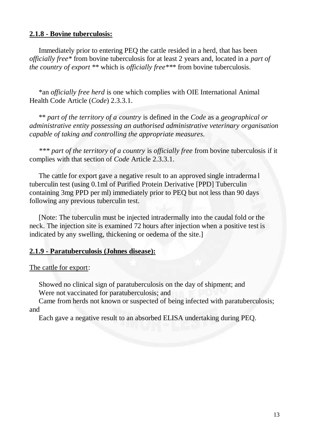#### **2.1.8 - Bovine tuberculosis:**

 Immediately prior to entering PEQ the cattle resided in a herd, that has been *officially free\** from bovine tuberculosis for at least 2 years and, located in a *part of the country of export* \*\* which is *officially free\*\**\* from bovine tuberculosis.

 \*an *officially free herd* is one which complies with OIE International Animal Health Code Article (*Code*) 2.3.3.1.

\*\* *part of the territory of a country* is defined in the *Code* as a *geographical or administrative entity possessing an authorised administrative veterinary organisation capable of taking and controlling the appropriate measures.* 

 *\*\*\* part of the territory of a country* is *officially free* from bovine tuberculosis if it complies with that section of *Code* Article 2.3.3.1.

 The cattle for export gave a negative result to an approved single intraderma l tuberculin test (using 0.1ml of Purified Protein Derivative [PPD] Tuberculin containing 3mg PPD per ml) immediately prior to PEQ but not less than 90 days following any previous tuberculin test.

 [Note: The tuberculin must be injected intradermally into the caudal fold or the neck. The injection site is examined 72 hours after injection when a positive test is indicated by any swelling, thickening or oedema of the site.]

#### **2.1.9 - Paratuberculosis (Johnes disease):**

#### The cattle for export:

 Showed no clinical sign of paratuberculosis on the day of shipment; and Were not vaccinated for paratuberculosis; and

 Came from herds not known or suspected of being infected with paratuberculosis; and

Each gave a negative result to an absorbed ELISA undertaking during PEQ.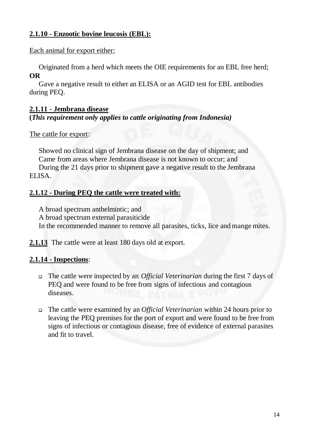#### **2.1.10 - Enzootic bovine leucosis (EBL):**

Each animal for export either;

Originated from a herd which meets the OIE requirements for an EBL free herd; **OR**

 Gave a negative result to either an ELISA or an AGID test for EBL antibodies during PEQ.

#### **2.1.11 - Jembrana disease**

#### **(***This requirement only applies to cattle originating from Indonesia)*

The cattle for export:

 Showed no clinical sign of Jembrana disease on the day of shipment; and Came from areas where Jembrana disease is not known to occur; and During the 21 days prior to shipment gave a negative result to the Jembrana ELISA.

#### **2.1.12 - During PEQ the cattle were treated with:**

A broad spectrum anthelmintic; and

A broad spectrum external parasiticide

In the recommended manner to remove all parasites, ticks, lice and mange mites.

**2.1.13** The cattle were at least 180 days old at export.

#### **2.1.14 - Inspections**:

- The cattle were inspected by an *Official Veterinarian* during the first 7 days of PEQ and were found to be free from signs of infectious and contagious diseases.
- The cattle were examined by an *Official Veterinarian* within 24 hours prior to leaving the PEQ premises for the port of export and were found to be free from signs of infectious or contagious disease, free of evidence of external parasites and fit to travel.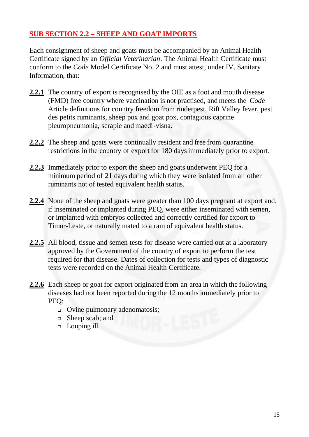#### **SUB SECTION 2.2 – SHEEP AND GOAT IMPORTS**

Each consignment of sheep and goats must be accompanied by an Animal Health Certificate signed by an *Official Veterinarian*. The Animal Health Certificate must conform to the *Code* Model Certificate No. 2 and must attest, under IV. Sanitary Information*,* that:

- **2.2.1** The country of export is recognised by the OIE as a foot and mouth disease (FMD) free country where vaccination is not practised, and meets the *Code* Article definitions for country freedom from rinderpest, Rift Valley fever, pest des petits ruminants, sheep pox and goat pox, contagious caprine pleuropneumonia, scrapie and maedi-visna.
- **2.2.2** The sheep and goats were continually resident and free from quarantine restrictions in the country of export for 180 days immediately prior to export.
- **2.2.3** Immediately prior to export the sheep and goats underwent PEQ for a minimum period of 21 days during which they were isolated from all other ruminants not of tested equivalent health status.
- **2.2.4** None of the sheep and goats were greater than 100 days pregnant at export and, if inseminated or implanted during PEQ, were either inseminated with semen, or implanted with embryos collected and correctly certified for export to Timor-Leste, or naturally mated to a ram of equivalent health status.
- **2.2.5** All blood, tissue and semen tests for disease were carried out at a laboratory approved by the Government of the country of export to perform the test required for that disease. Dates of collection for tests and types of diagnostic tests were recorded on the Animal Health Certificate.
- **2.2.6** Each sheep or goat for export originated from an area in which the following diseases had not been reported during the 12 months immediately prior to PEQ:
	- Ovine pulmonary adenomatosis;
	- □ Sheep scab; and
	- Louping ill.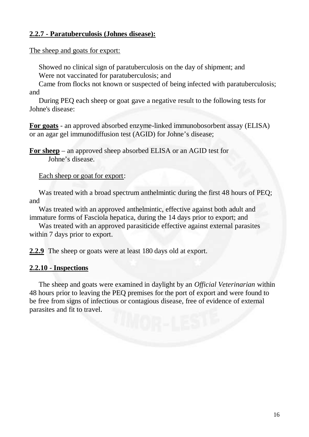#### **2.2.7 - Paratuberculosis (Johnes disease):**

The sheep and goats for export:

 Showed no clinical sign of paratuberculosis on the day of shipment; and Were not vaccinated for paratuberculosis; and

 Came from flocks not known or suspected of being infected with paratuberculosis; and

 During PEQ each sheep or goat gave a negative result to the following tests for Johne's disease:

**For goats** - an approved absorbed enzyme-linked immunobosorbent assay (ELISA) or an agar gel immunodiffusion test (AGID) for Johne's disease;

**For sheep** – an approved sheep absorbed ELISA or an AGID test for Johne's disease.

Each sheep or goat for export:

Was treated with a broad spectrum anthelmintic during the first 48 hours of PEQ; and

 Was treated with an approved anthelmintic, effective against both adult and immature forms of Fasciola hepatica, during the 14 days prior to export; and

 Was treated with an approved parasiticide effective against external parasites within 7 days prior to export.

**2.2.9** The sheep or goats were at least 180 days old at export.

#### **2.2.10 - Inspections**

 The sheep and goats were examined in daylight by an *Official Veterinarian* within 48 hours prior to leaving the PEQ premises for the port of export and were found to be free from signs of infectious or contagious disease, free of evidence of external parasites and fit to travel.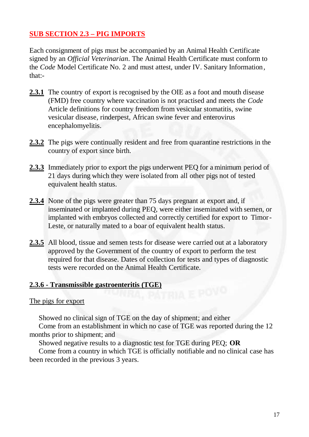#### **SUB SECTION 2.3 – PIG IMPORTS**

Each consignment of pigs must be accompanied by an Animal Health Certificate signed by an *Official Veterinarian*. The Animal Health Certificate must conform to the *Code* Model Certificate No. 2 and must attest, under IV. Sanitary Information*,* that:-

- **2.3.1** The country of export is recognised by the OIE as a foot and mouth disease (FMD) free country where vaccination is not practised and meets the *Code* Article definitions for country freedom from vesicular stomatitis, swine vesicular disease, rinderpest, African swine fever and enterovirus encephalomyelitis.
- **2.3.2** The pigs were continually resident and free from quarantine restrictions in the country of export since birth.
- **2.3.3** Immediately prior to export the pigs underwent PEQ for a minimum period of 21 days during which they were isolated from all other pigs not of tested equivalent health status.
- **2.3.4** None of the pigs were greater than 75 days pregnant at export and, if inseminated or implanted during PEQ, were either inseminated with semen, or implanted with embryos collected and correctly certified for export to Timor-Leste, or naturally mated to a boar of equivalent health status.
- **2.3.5** All blood, tissue and semen tests for disease were carried out at a laboratory approved by the Government of the country of export to perform the test required for that disease. Dates of collection for tests and types of diagnostic tests were recorded on the Animal Health Certificate.

#### **2.3.6 - Transmissible gastroenteritis (TGE)**

#### The pigs for export

Showed no clinical sign of TGE on the day of shipment; and either

 Come from an establishment in which no case of TGE was reported during the 12 months prior to shipment; and

Showed negative results to a diagnostic test for TGE during PEQ; **OR**

 Come from a country in which TGE is officially notifiable and no clinical case has been recorded in the previous 3 years.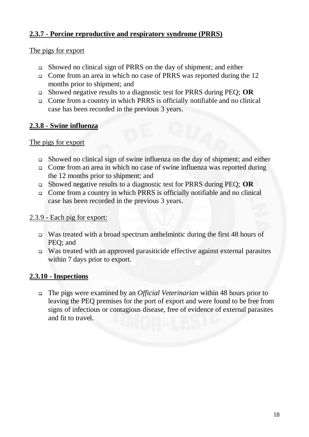#### **2.3.7 - Porcine reproductive and respiratory syndrome (PRRS)**

#### The pigs for export

- Showed no clinical sign of PRRS on the day of shipment; and either
- Come from an area in which no case of PRRS was reported during the 12 months prior to shipment; and
- Showed negative results to a diagnostic test for PRRS during PEQ; **OR**
- □ Come from a country in which PRRS is officially notifiable and no clinical case has been recorded in the previous 3 years.

#### **2.3.8 - Swine influenza**

#### The pigs for export

- Showed no clinical sign of swine influenza on the day of shipment; and either
- Come from an area in which no case of swine influenza was reported during the 12 months prior to shipment; and
- Showed negative results to a diagnostic test for PRRS during PEQ; **OR**
- Come from a country in which PRRS is officially notifiable and no clinical case has been recorded in the previous 3 years.

#### 2.3.9 - Each pig for export:

- Was treated with a broad spectrum anthelmintic during the first 48 hours of PEQ; and
- Was treated with an approved parasiticide effective against external parasites within 7 days prior to export.

#### **2.3.10 - Inspections**

 The pigs were examined by an *Official Veterinarian* within 48 hours prior to leaving the PEQ premises for the port of export and were found to be free from signs of infectious or contagious disease, free of evidence of external parasites and fit to travel.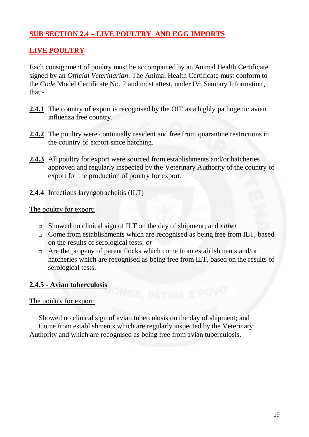#### **SUB SECTION 2.4 – LIVE POULTRY AND EGG IMPORTS**

#### **LIVE POULTRY**

Each consignment of poultry must be accompanied by an Animal Health Certificate signed by an *Official Veterinarian*. The Animal Health Certificate must conform to the *Code* Model Certificate No. 2 and must attest, under IV. Sanitary Information*,* that:-

- **2.4.1** The country of export is recognised by the OIE as a highly pathogenic avian influenza free country.
- **2.4.2** The poultry were continually resident and free from quarantine restrictions in the country of export since hatching.
- **2.4.3** All poultry for export were sourced from establishments and/or hatcheries approved and regularly inspected by the Veterinary Authority of the country of export for the production of poultry for export.
- **2.4.4** Infectious laryngotracheitis (ILT)

#### The poultry for export:

- Showed no clinical sign of ILT on the day of shipment; and *either*
- □ Come from establishments which are recognised as being free from ILT, based on the results of serological tests; *or*
- $\Box$  Are the progeny of parent flocks which come from establishments and/or hatcheries which are recognised as being free from ILT, based on the results of serological tests.

#### **2.4.5 - Avian tuberculosis**

#### The poultry for export:

 Showed no clinical sign of avian tuberculosis on the day of shipment; and Come from establishments which are regularly inspected by the Veterinary Authority and which are recognised as being free from avian tuberculosis.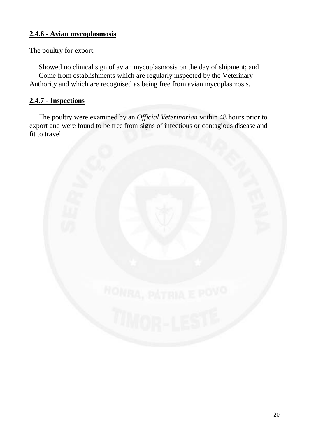#### **2.4.6 - Avian mycoplasmosis**

#### The poultry for export:

 Showed no clinical sign of avian mycoplasmosis on the day of shipment; and Come from establishments which are regularly inspected by the Veterinary Authority and which are recognised as being free from avian mycoplasmosis.

#### **2.4.7 - Inspections**

 The poultry were examined by an *Official Veterinarian* within 48 hours prior to export and were found to be free from signs of infectious or contagious disease and fit to travel.

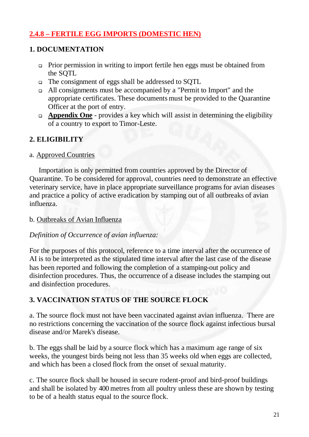#### **2.4.8 – FERTILE EGG IMPORTS (DOMESTIC HEN)**

#### **1. DOCUMENTATION**

- Prior permission in writing to import fertile hen eggs must be obtained from the SQTL
- The consignment of eggs shall be addressed to SQTL
- All consignments must be accompanied by a "Permit to Import" and the appropriate certificates. These documents must be provided to the Quarantine Officer at the port of entry.
- **Appendix One** provides a key which will assist in determining the eligibility of a country to export to Timor-Leste.

#### **2. ELIGIBILITY**

#### a. Approved Countries

 Importation is only permitted from countries approved by the Director of Quarantine. To be considered for approval, countries need to demonstrate an effective veterinary service, have in place appropriate surveillance programs for avian diseases and practice a policy of active eradication by stamping out of all outbreaks of avian influenza.

#### b. Outbreaks of Avian Influenza

#### *Definition of Occurrence of avian influenza:*

For the purposes of this protocol, reference to a time interval after the occurrence of AI is to be interpreted as the stipulated time interval after the last case of the disease has been reported and following the completion of a stamping-out policy and disinfection procedures. Thus, the occurrence of a disease includes the stamping out and disinfection procedures.

#### **3. VACCINATION STATUS OF THE SOURCE FLOCK**

a. The source flock must not have been vaccinated against avian influenza. There are no restrictions concerning the vaccination of the source flock against infectious bursal disease and/or Marek's disease.

b. The eggs shall be laid by a source flock which has a maximum age range of six weeks, the youngest birds being not less than 35 weeks old when eggs are collected, and which has been a closed flock from the onset of sexual maturity.

c. The source flock shall be housed in secure rodent-proof and bird-proof buildings and shall be isolated by 400 metres from all poultry unless these are shown by testing to be of a health status equal to the source flock.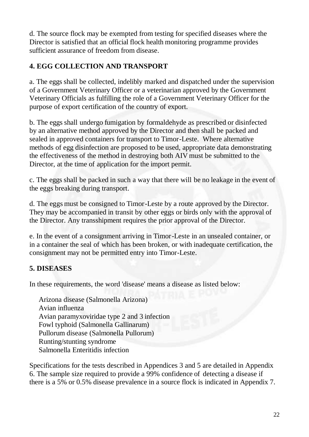d. The source flock may be exempted from testing for specified diseases where the Director is satisfied that an official flock health monitoring programme provides sufficient assurance of freedom from disease.

#### **4. EGG COLLECTION AND TRANSPORT**

a. The eggs shall be collected, indelibly marked and dispatched under the supervision of a Government Veterinary Officer or a veterinarian approved by the Government Veterinary Officials as fulfilling the role of a Government Veterinary Officer for the purpose of export certification of the country of export.

b. The eggs shall undergo fumigation by formaldehyde as prescribed or disinfected by an alternative method approved by the Director and then shall be packed and sealed in approved containers for transport to Timor-Leste. Where alternative methods of egg disinfection are proposed to be used, appropriate data demonstrating the effectiveness of the method in destroying both AIV must be submitted to the Director, at the time of application for the import permit.

c. The eggs shall be packed in such a way that there will be no leakage in the event of the eggs breaking during transport.

d. The eggs must be consigned to Timor-Leste by a route approved by the Director. They may be accompanied in transit by other eggs or birds only with the approval of the Director. Any transshipment requires the prior approval of the Director.

e. In the event of a consignment arriving in Timor-Leste in an unsealed container, or in a container the seal of which has been broken, or with inadequate certification, the consignment may not be permitted entry into Timor-Leste.

#### **5. DISEASES**

In these requirements, the word 'disease' means a disease as listed below:

 Arizona disease (Salmonella Arizona) Avian influenza Avian paramyxoviridae type 2 and 3 infection Fowl typhoid (Salmonella Gallinarum) Pullorum disease (Salmonella Pullorum) Runting/stunting syndrome Salmonella Enteritidis infection

Specifications for the tests described in Appendices 3 and 5 are detailed in Appendix 6. The sample size required to provide a 99% confidence of detecting a disease if there is a 5% or 0.5% disease prevalence in a source flock is indicated in Appendix 7.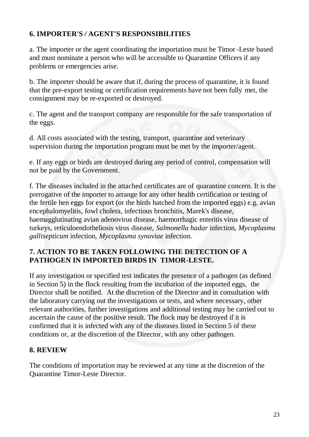#### **6. IMPORTER'S / AGENT'S RESPONSIBILITIES**

a. The importer or the agent coordinating the importation must be Timor -Leste based and must nominate a person who will be accessible to Quarantine Officers if any problems or emergencies arise.

b. The importer should be aware that if, during the process of quarantine, it is found that the pre-export testing or certification requirements have not been fully met, the consignment may be re-exported or destroyed.

c. The agent and the transport company are responsible for the safe transportation of the eggs.

d. All costs associated with the testing, transport, quarantine and veterinary supervision during the importation program must be met by the importer/agent.

e. If any eggs or birds are destroyed during any period of control, compensation will not be paid by the Government.

f. The diseases included in the attached certificates are of quarantine concern. It is the prerogative of the importer to arrange for any other health certification or testing of the fertile hen eggs for export (or the birds hatched from the imported eggs) e.g. avian encephalomyelitis, fowl cholera, infectious bronchitis, Marek's disease, haemagglutinating avian adenovirus disease, haemorrhagic enteritis virus disease of turkeys, reticuloendotheliosis virus disease, *Salmonella hadar* infection, *Mycoplasma gallisepticum* infection, *Mycoplasma synoviae* infection.

#### **7. ACTION TO BE TAKEN FOLLOWING THE DETECTION OF A PATHOGEN IN IMPORTED BIRDS IN TIMOR-LESTE.**

If any investigation or specified test indicates the presence of a pathogen (as defined in Section 5) in the flock resulting from the incubation of the imported eggs, the Director shall be notified. At the discretion of the Director and in consultation with the laboratory carrying out the investigations or tests, and where necessary, other relevant authorities, further investigations and additional testing may be carried out to ascertain the cause of the positive result. The flock may be destroyed if it is confirmed that it is infected with any of the diseases listed in Section 5 of these conditions or, at the discretion of the Director, with any other pathogen.

#### **8. REVIEW**

The conditions of importation may be reviewed at any time at the discretion of the Quarantine Timor-Leste Director.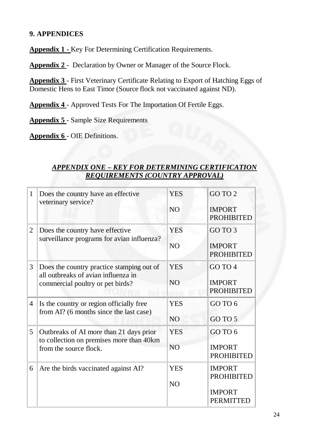#### **9. APPENDICES**

**Appendix 1 -** Key For Determining Certification Requirements.

**Appendix 2** - Declaration by Owner or Manager of the Source Flock.

**Appendix 3** - First Veterinary Certificate Relating to Export of Hatching Eggs of Domestic Hens to East Timor (Source flock not vaccinated against ND).

**Appendix 4** - Approved Tests For The Importation Of Fertile Eggs.

**Appendix 5** - Sample Size Requirements

**Appendix 6** - OIE Definitions.

#### *APPENDIX ONE – KEY FOR DETERMINING CERTIFICATION REQUIREMENTS (COUNTRY APPROVAL)*

| $\mathbf{1}$   | Does the country have an effective<br>veterinary service?                                                            | <b>YES</b><br>N <sub>O</sub> | GO TO 2<br><b>IMPORT</b>                                                |
|----------------|----------------------------------------------------------------------------------------------------------------------|------------------------------|-------------------------------------------------------------------------|
| $\overline{2}$ | Does the country have effective<br>surveillance programs for avian influenza?                                        | <b>YES</b><br>N <sub>O</sub> | <b>PROHIBITED</b><br>GO TO 3<br><b>IMPORT</b><br><b>PROHIBITED</b>      |
| 3              | Does the country practice stamping out of<br>all outbreaks of avian influenza in<br>commercial poultry or pet birds? | <b>YES</b><br>N <sub>O</sub> | GO TO 4<br><b>IMPORT</b><br><b>PROHIBITED</b>                           |
| $\overline{4}$ | Is the country or region officially free<br>from AI? (6 months since the last case)                                  | <b>YES</b><br>NO             | GO TO 6<br>GO TO 5                                                      |
| 5              | Outbreaks of AI more than 21 days prior<br>to collection on premises more than 40km<br>from the source flock.        | <b>YES</b><br>NO <sub></sub> | GO TO 6<br><b>IMPORT</b><br><b>PROHIBITED</b>                           |
| 6              | Are the birds vaccinated against AI?                                                                                 | <b>YES</b><br>N <sub>O</sub> | <b>IMPORT</b><br><b>PROHIBITED</b><br><b>IMPORT</b><br><b>PERMITTED</b> |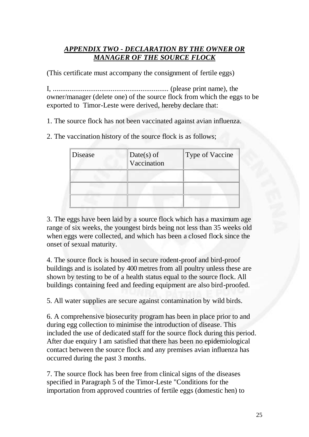#### *APPENDIX TWO - DECLARATION BY THE OWNER OR MANAGER OF THE SOURCE FLOCK*

(This certificate must accompany the consignment of fertile eggs)

I, .............................................................. (please print name), the owner/manager (delete one) of the source flock from which the eggs to be exported to Timor-Leste were derived, hereby declare that:

1. The source flock has not been vaccinated against avian influenza.

2. The vaccination history of the source flock is as follows;

| Disease | $Date(s)$ of<br>Vaccination | <b>Type of Vaccine</b> |
|---------|-----------------------------|------------------------|
|         |                             |                        |
|         |                             |                        |

3. The eggs have been laid by a source flock which has a maximum age range of six weeks, the youngest birds being not less than 35 weeks old when eggs were collected, and which has been a closed flock since the onset of sexual maturity.

4. The source flock is housed in secure rodent-proof and bird-proof buildings and is isolated by 400 metres from all poultry unless these are shown by testing to be of a health status equal to the source flock. All buildings containing feed and feeding equipment are also bird-proofed.

5. All water supplies are secure against contamination by wild birds.

6. A comprehensive biosecurity program has been in place prior to and during egg collection to minimise the introduction of disease. This included the use of dedicated staff for the source flock during this period. After due enquiry I am satisfied that there has been no epidemiological contact between the source flock and any premises avian influenza has occurred during the past 3 months.

7. The source flock has been free from clinical signs of the diseases specified in Paragraph 5 of the Timor-Leste "Conditions for the importation from approved countries of fertile eggs (domestic hen) to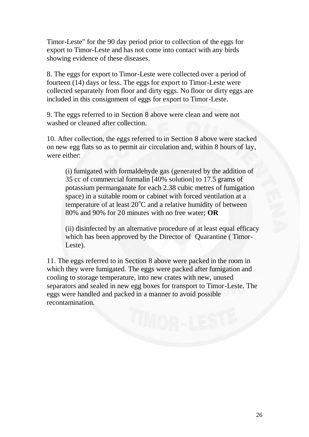Timor-Leste" for the 90 day period prior to collection of the eggs for export to Timor-Leste and has not come into contact with any birds showing evidence of these diseases.

8. The eggs for export to Timor-Leste were collected over a period of fourteen (14) days or less. The eggs for export to Timor-Leste were collected separately from floor and dirty eggs. No floor or dirty eggs are included in this consignment of eggs for export to Timor-Leste.

9. The eggs referred to in Section 8 above were clean and were not washed or cleaned after collection.

10. After collection, the eggs referred to in Section 8 above were stacked on new egg flats so as to permit air circulation and, within 8 hours of lay, were either:

(i) fumigated with formaldehyde gas (generated by the addition of 35 cc of commercial formalin [40% solution] to 17.5 grams of potassium permanganate for each 2.38 cubic metres of fumigation space) in a suitable room or cabinet with forced ventilation at a temperature of at least  $20^{\circ}$ C and a relative humidity of between 80% and 90% for 20 minutes with no free water; **OR**

(ii) disinfected by an alternative procedure of at least equal efficacy which has been approved by the Director of Quarantine ( Timor-Leste).

11. The eggs referred to in Section 8 above were packed in the room in which they were fumigated. The eggs were packed after fumigation and cooling to storage temperature, into new crates with new, unused separators and sealed in new egg boxes for transport to Timor-Leste. The eggs were handled and packed in a manner to avoid possible recontamination.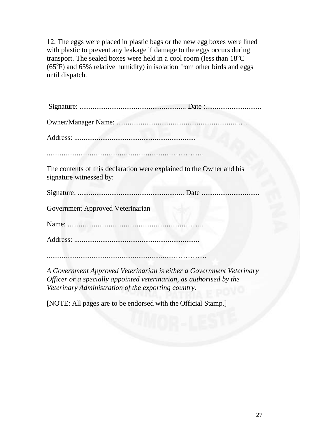12. The eggs were placed in plastic bags or the new egg boxes were lined with plastic to prevent any leakage if damage to the eggs occurs during transport. The sealed boxes were held in a cool room (less than  $18^{\circ}$ C  $(65^{\circ}\text{F})$  and 65% relative humidity) in isolation from other birds and eggs until dispatch.

| The contents of this declaration were explained to the Owner and his<br>signature witnessed by:                                                                                                                                                                                                                                                                                      |  |
|--------------------------------------------------------------------------------------------------------------------------------------------------------------------------------------------------------------------------------------------------------------------------------------------------------------------------------------------------------------------------------------|--|
|                                                                                                                                                                                                                                                                                                                                                                                      |  |
| Government Approved Veterinarian                                                                                                                                                                                                                                                                                                                                                     |  |
|                                                                                                                                                                                                                                                                                                                                                                                      |  |
|                                                                                                                                                                                                                                                                                                                                                                                      |  |
|                                                                                                                                                                                                                                                                                                                                                                                      |  |
| $\overline{1}$ $\overline{1}$ $\overline{1}$ $\overline{1}$ $\overline{1}$ $\overline{1}$ $\overline{1}$ $\overline{1}$ $\overline{1}$ $\overline{1}$ $\overline{1}$ $\overline{1}$ $\overline{1}$ $\overline{1}$ $\overline{1}$ $\overline{1}$ $\overline{1}$ $\overline{1}$ $\overline{1}$ $\overline{1}$ $\overline{1}$ $\overline{1}$ $\overline{1}$ $\overline{1}$ $\overline{$ |  |

*A Government Approved Veterinarian is either a Government Veterinary Officer or a specially appointed veterinarian, as authorised by the Veterinary Administration of the exporting country.* 

[NOTE: All pages are to be endorsed with the Official Stamp.]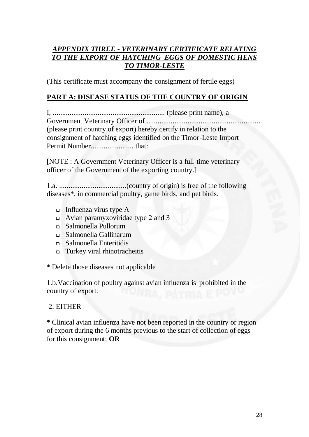#### *APPENDIX THREE - VETERINARY CERTIFICATE RELATING TO THE EXPORT OF HATCHING EGGS OF DOMESTIC HENS TO TIMOR-LESTE*

(This certificate must accompany the consignment of fertile eggs)

#### **PART A: DISEASE STATUS OF THE COUNTRY OF ORIGIN**

I, ............................................................ (please print name), a Government Veterinary Officer of ............................................................. (please print country of export) hereby certify in relation to the consignment of hatching eggs identified on the Timor-Leste Import Permit Number....................... that:

[NOTE : A Government Veterinary Officer is a full-time veterinary officer of the Government of the exporting country.]

1.a. ....................................(country of origin) is free of the following diseases\*, in commercial poultry, game birds, and pet birds.

- Influenza virus type  $A$
- Avian paramyxoviridae type 2 and 3
- Salmonella Pullorum
- Salmonella Gallinarum
- Salmonella Enteritidis
- Turkey viral rhinotracheitis

\* Delete those diseases not applicable

1.b.Vaccination of poultry against avian influenza is prohibited in the country of export.

#### 2. EITHER

\* Clinical avian influenza have not been reported in the country or region of export during the 6 months previous to the start of collection of eggs for this consignment; **OR**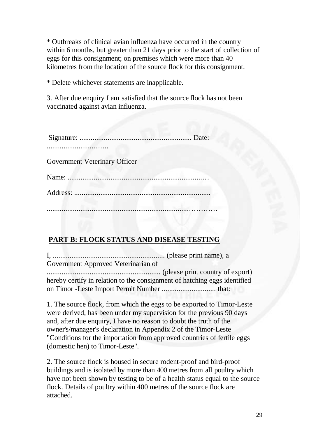\* Outbreaks of clinical avian influenza have occurred in the country within 6 months, but greater than 21 days prior to the start of collection of eggs for this consignment; on premises which were more than 40 kilometres from the location of the source flock for this consignment.

\* Delete whichever statements are inapplicable.

3. After due enquiry I am satisfied that the source flock has not been vaccinated against avian influenza.

........................

Government Veterinary Officer

............................................................................…………

#### **PART B: FLOCK STATUS AND DISEASE TESTING**

I, ............................................................ (please print name), a Government Approved Veterinarian of ............................................................. (please print country of export) hereby certify in relation to the consignment of hatching eggs identified on Timor -Leste Import Permit Number ............................. that:

1. The source flock, from which the eggs to be exported to Timor-Leste were derived, has been under my supervision for the previous 90 days and, after due enquiry, I have no reason to doubt the truth of the owner's/manager's declaration in Appendix 2 of the Timor-Leste "Conditions for the importation from approved countries of fertile eggs (domestic hen) to Timor-Leste".

2. The source flock is housed in secure rodent-proof and bird-proof buildings and is isolated by more than 400 metres from all poultry which have not been shown by testing to be of a health status equal to the source flock. Details of poultry within 400 metres of the source flock are attached.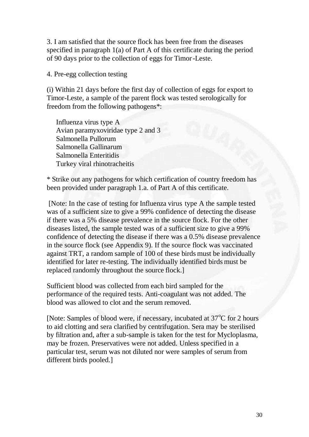3. I am satisfied that the source flock has been free from the diseases specified in paragraph 1(a) of Part A of this certificate during the period of 90 days prior to the collection of eggs for Timor-Leste.

4. Pre-egg collection testing

(i) Within 21 days before the first day of collection of eggs for export to Timor-Leste, a sample of the parent flock was tested serologically for freedom from the following pathogens\*:

 Influenza virus type A Avian paramyxoviridae type 2 and 3 Salmonella Pullorum Salmonella Gallinarum Salmonella Enteritidis Turkey viral rhinotracheitis

\* Strike out any pathogens for which certification of country freedom has been provided under paragraph 1.a. of Part A of this certificate.

 [Note: In the case of testing for Influenza virus type A the sample tested was of a sufficient size to give a 99% confidence of detecting the disease if there was a 5% disease prevalence in the source flock. For the other diseases listed, the sample tested was of a sufficient size to give a 99% confidence of detecting the disease if there was a 0.5% disease prevalence in the source flock (see Appendix 9). If the source flock was vaccinated against TRT, a random sample of 100 of these birds must be individually identified for later re-testing. The individually identified birds must be replaced randomly throughout the source flock.]

Sufficient blood was collected from each bird sampled for the performance of the required tests. Anti-coagulant was not added. The blood was allowed to clot and the serum removed.

[Note: Samples of blood were, if necessary, incubated at 37°C for 2 hours to aid clotting and sera clarified by centrifugation. Sera may be sterilised by filtration and, after a sub-sample is taken for the test for Mycloplasma, may be frozen. Preservatives were not added. Unless specified in a particular test, serum was not diluted nor were samples of serum from different birds pooled.]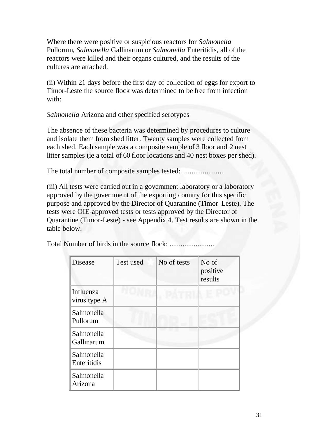Where there were positive or suspicious reactors for *Salmonella*  Pullorum, *Salmonella* Gallinarum or *Salmonella* Enteritidis, all of the reactors were killed and their organs cultured, and the results of the cultures are attached.

(ii) Within 21 days before the first day of collection of eggs for export to Timor-Leste the source flock was determined to be free from infection with:

*Salmonella* Arizona and other specified serotypes

The absence of these bacteria was determined by procedures to culture and isolate them from shed litter. Twenty samples were collected from each shed. Each sample was a composite sample of 3 floor and 2 nest litter samples (ie a total of 60 floor locations and 40 nest boxes per shed).

The total number of composite samples tested: ...................................

(iii) All tests were carried out in a government laboratory or a laboratory approved by the government of the exporting country for this specific purpose and approved by the Director of Quarantine (Timor-Leste). The tests were OIE-approved tests or tests approved by the Director of Quarantine (Timor-Leste) - see Appendix 4. Test results are shown in the table below.

Total Number of birds in the source flock: ........................

| Disease                   | Test used | No of tests | No of<br>positive<br>results |
|---------------------------|-----------|-------------|------------------------------|
| Influenza<br>virus type A |           |             |                              |
| Salmonella<br>Pullorum    |           |             |                              |
| Salmonella<br>Gallinarum  |           |             |                              |
| Salmonella<br>Enteritidis |           |             |                              |
| Salmonella<br>Arizona     |           |             |                              |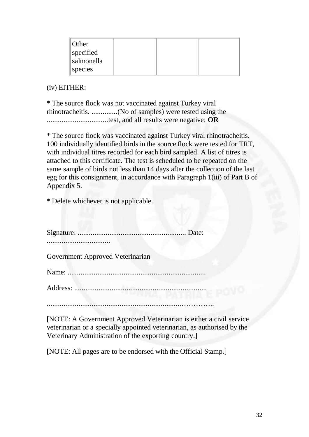| Other      |  |  |
|------------|--|--|
| specified  |  |  |
| salmonella |  |  |
| species    |  |  |

(iv) EITHER:

\* The source flock was not vaccinated against Turkey viral rhinotracheitis. ..............(No of samples) were tested using the .................................test, and all results were negative; **OR**

\* The source flock was vaccinated against Turkey viral rhinotracheitis. 100 individually identified birds in the source flock were tested for TRT, with individual titres recorded for each bird sampled. A list of titres is attached to this certificate. The test is scheduled to be repeated on the same sample of birds not less than 14 days after the collection of the last egg for this consignment, in accordance with Paragraph 1(iii) of Part B of Appendix 5.

\* Delete whichever is not applicable.

Signature: .......................................................... Date:

..................................

Government Approved Veterinarian

Name: ..........................................................................

Address: .......................................................................

........................................................................…………..

[NOTE: A Government Approved Veterinarian is either a civil service veterinarian or a specially appointed veterinarian, as authorised by the Veterinary Administration of the exporting country.]

[NOTE: All pages are to be endorsed with the Official Stamp.]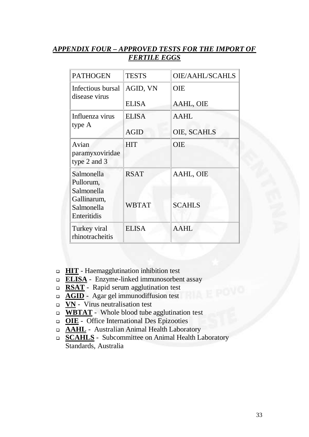#### *APPENDIX FOUR – APPROVED TESTS FOR THE IMPORT OF FERTILE EGGS*

| <b>PATHOGEN</b>                                                     | <b>TESTS</b> | <b>OIE/AAHL/SCAHLS</b> |
|---------------------------------------------------------------------|--------------|------------------------|
| Infectious bursal                                                   | AGID, VN     | <b>OIE</b>             |
| disease virus                                                       | <b>ELISA</b> | AAHL, OIE              |
| Influenza virus                                                     | <b>ELISA</b> | <b>AAHL</b>            |
| type A                                                              | <b>AGID</b>  | OIE, SCAHLS            |
| Avian<br>paramyxoviridae<br>type 2 and 3                            | <b>HIT</b>   | OIE                    |
| Salmonella                                                          | <b>RSAT</b>  | AAHL, OIE              |
| Pullorum,<br>Salmonella<br>Gallinarum,<br>Salmonella<br>Enteritidis | <b>WBTAT</b> | <b>SCAHLS</b>          |
| Turkey viral<br>rhinotracheitis                                     | <b>ELISA</b> | AAHL                   |

- **HIT** Haemagglutination inhibition test
- **ELISA** Enzyme-linked immunosorbent assay
- **RSAT** Rapid serum agglutination test
- **AGID** Agar gel immunodiffusion test
- **VN** Virus neutralisation test
- □ **WBTAT** Whole blood tube agglutination test
- **OIE** Office International Des Epizooties
- **AAHL** Australian Animal Health Laboratory
- **SCAHLS** Subcommittee on Animal Health Laboratory Standards, Australia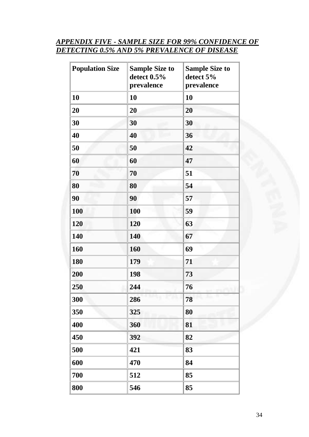#### *APPENDIX FIVE - SAMPLE SIZE FOR 99% CONFIDENCE OF DETECTING 0.5% AND 5% PREVALENCE OF DISEASE*

| <b>Population Size</b> | <b>Sample Size to</b><br>detect 0.5%<br>prevalence | <b>Sample Size to</b><br>detect 5%<br>prevalence |
|------------------------|----------------------------------------------------|--------------------------------------------------|
| 10                     | 10                                                 | 10                                               |
| 20                     | 20                                                 | 20                                               |
| 30                     | 30                                                 | 30                                               |
| 40                     | 40                                                 | 36                                               |
| 50                     | 50                                                 | 42                                               |
| 60                     | 60                                                 | 47                                               |
| 70                     | 70                                                 | 51                                               |
| 80                     | 80                                                 | 54                                               |
| 90                     | 90                                                 | 57                                               |
| 100                    | 100                                                | 59                                               |
| 120                    | 120                                                | 63                                               |
| 140                    | 140                                                | 67                                               |
| 160                    | 160                                                | 69                                               |
| 180                    | 179                                                | 71                                               |
| 200                    | 198                                                | 73                                               |
| 250                    | 244                                                | 76                                               |
| 300                    | 286                                                | 78                                               |
| 350                    | 325                                                | 80                                               |
| 400                    | 360                                                | 81                                               |
| 450                    | 392                                                | 82                                               |
| 500                    | 421                                                | 83                                               |
| 600                    | 470                                                | 84                                               |
| 700                    | 512                                                | 85                                               |
| 800                    | 546                                                | 85                                               |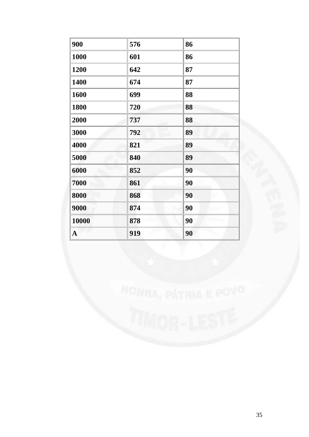| 900         | 576 | 86 |
|-------------|-----|----|
| 1000        | 601 | 86 |
| 1200        | 642 | 87 |
| 1400        | 674 | 87 |
| 1600        | 699 | 88 |
| 1800        | 720 | 88 |
| 2000        | 737 | 88 |
| 3000        | 792 | 89 |
| 4000        | 821 | 89 |
| 5000        | 840 | 89 |
| 6000        | 852 | 90 |
| 7000        | 861 | 90 |
| 8000        | 868 | 90 |
| 9000        | 874 | 90 |
| 10000       | 878 | 90 |
| $\mathbf A$ | 919 | 90 |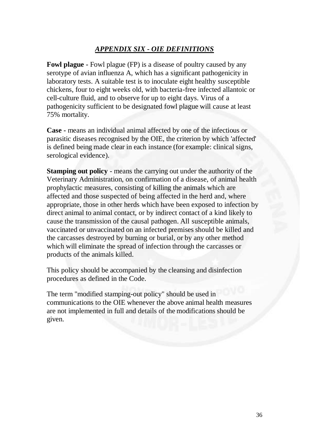#### *APPENDIX SIX - OIE DEFINITIONS*

**Fowl plague - Fowl plague (FP) is a disease of poultry caused by any** serotype of avian influenza A, which has a significant pathogenicity in laboratory tests. A suitable test is to inoculate eight healthy susceptible chickens, four to eight weeks old, with bacteria-free infected allantoic or cell-culture fluid, and to observe for up to eight days. Virus of a pathogenicity sufficient to be designated fowl plague will cause at least 75% mortality.

**Case -** means an individual animal affected by one of the infectious or parasitic diseases recognised by the OIE, the criterion by which 'affected' is defined being made clear in each instance (for example: clinical signs, serological evidence).

**Stamping out policy** - means the carrying out under the authority of the Veterinary Administration, on confirmation of a disease, of animal health prophylactic measures, consisting of killing the animals which are affected and those suspected of being affected in the herd and, where appropriate, those in other herds which have been exposed to infection by direct animal to animal contact, or by indirect contact of a kind likely to cause the transmission of the causal pathogen. All susceptible animals, vaccinated or unvaccinated on an infected premises should be killed and the carcasses destroyed by burning or burial, or by any other method which will eliminate the spread of infection through the carcasses or products of the animals killed.

This policy should be accompanied by the cleansing and disinfection procedures as defined in the Code.

The term "modified stamping-out policy" should be used in communications to the OIE whenever the above animal health measures are not implemented in full and details of the modifications should be given.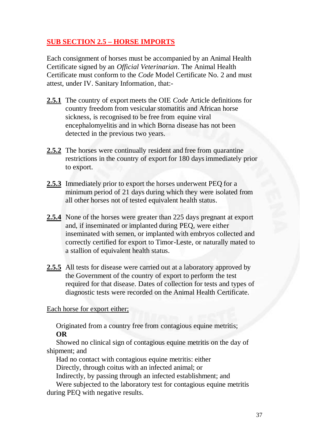# **SUB SECTION 2.5 – HORSE IMPORTS**

Each consignment of horses must be accompanied by an Animal Health Certificate signed by an *Official Veterinarian*. The Animal Health Certificate must conform to the *Code* Model Certificate No. 2 and must attest, under IV. Sanitary Information*,* that:-

- **2.5.1** The country of export meets the OIE *Code* Article definitions for country freedom from vesicular stomatitis and African horse sickness, is recognised to be free from equine viral encephalomyelitis and in which Borna disease has not been detected in the previous two years.
- **2.5.2** The horses were continually resident and free from quarantine restrictions in the country of export for 180 days immediately prior to export.
- **2.5.3** Immediately prior to export the horses underwent PEQ for a minimum period of 21 days during which they were isolated from all other horses not of tested equivalent health status.
- **2.5.4** None of the horses were greater than 225 days pregnant at export and, if inseminated or implanted during PEQ, were either inseminated with semen, or implanted with embryos collected and correctly certified for export to Timor-Leste, or naturally mated to a stallion of equivalent health status.
- **2.5.5** All tests for disease were carried out at a laboratory approved by the Government of the country of export to perform the test required for that disease. Dates of collection for tests and types of diagnostic tests were recorded on the Animal Health Certificate.

Each horse for export either;

Originated from a country free from contagious equine metritis; **OR**

 Showed no clinical sign of contagious equine metritis on the day of shipment; and

 Had no contact with contagious equine metritis: either Directly, through coitus with an infected animal; or

Indirectly, by passing through an infected establishment; and

 Were subjected to the laboratory test for contagious equine metritis during PEQ with negative results.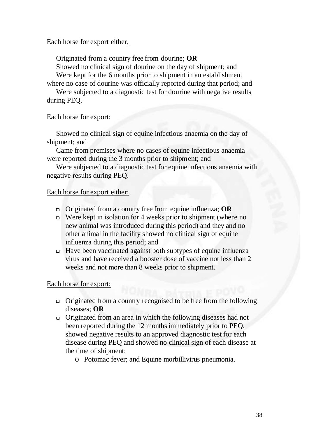### Each horse for export either;

Originated from a country free from dourine; **OR**

 Showed no clinical sign of dourine on the day of shipment; and Were kept for the 6 months prior to shipment in an establishment

where no case of dourine was officially reported during that period; and

 Were subjected to a diagnostic test for dourine with negative results during PEQ.

### Each horse for export:

 Showed no clinical sign of equine infectious anaemia on the day of shipment; and

Came from premises where no cases of equine infectious anaemia were reported during the 3 months prior to shipment; and

 Were subjected to a diagnostic test for equine infectious anaemia with negative results during PEQ.

### Each horse for export either;

- Originated from a country free from equine influenza; **OR**
- **Were kept in isolation for 4 weeks prior to shipment (where no** new animal was introduced during this period) and they and no other animal in the facility showed no clinical sign of equine influenza during this period; and
- Have been vaccinated against both subtypes of equine influenza virus and have received a booster dose of vaccine not less than 2 weeks and not more than 8 weeks prior to shipment.

### Each horse for export:

- Originated from a country recognised to be free from the following diseases; **OR**
- Originated from an area in which the following diseases had not been reported during the 12 months immediately prior to PEQ, showed negative results to an approved diagnostic test for each disease during PEQ and showed no clinical sign of each disease at the time of shipment:
	- o Potomac fever; and Equine morbillivirus pneumonia.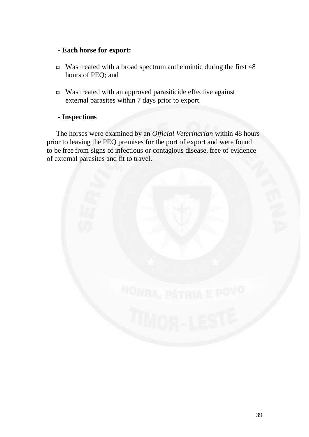### **- Each horse for export:**

- Was treated with a broad spectrum anthelmintic during the first 48 hours of PEQ; and
- Was treated with an approved parasiticide effective against external parasites within 7 days prior to export.

### **- Inspections**

 The horses were examined by an *Official Veterinarian* within 48 hours prior to leaving the PEQ premises for the port of export and were found to be free from signs of infectious or contagious disease, free of evidence of external parasites and fit to travel.

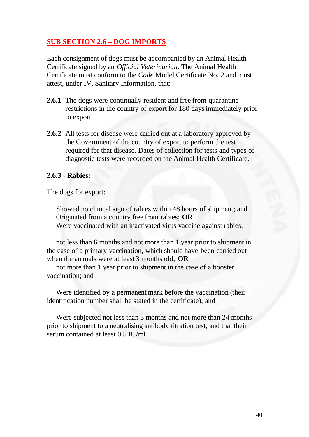## **SUB SECTION 2.6 – DOG IMPORTS**

Each consignment of dogs must be accompanied by an Animal Health Certificate signed by an *Official Veterinarian*. The Animal Health Certificate must conform to the *Code* Model Certificate No. 2 and must attest, under IV. Sanitary Information*,* that:-

- **2.6.1** The dogs were continually resident and free from quarantine restrictions in the country of export for 180 days immediately prior to export.
- **2.6.2** All tests for disease were carried out at a laboratory approved by the Government of the country of export to perform the test required for that disease. Dates of collection for tests and types of diagnostic tests were recorded on the Animal Health Certificate.

### **2.6.3 - Rabies:**

#### The dogs for export:

 Showed no clinical sign of rabies within 48 hours of shipment; and Originated from a country free from rabies; **OR** Were vaccinated with an inactivated virus vaccine against rabies:

 not less than 6 months and not more than 1 year prior to shipment in the case of a primary vaccination, which should have been carried out when the animals were at least 3 months old; **OR**

 not more than 1 year prior to shipment in the case of a booster vaccination; and

 Were identified by a permanent mark before the vaccination (their identification number shall be stated in the certificate); and

 Were subjected not less than 3 months and not more than 24 months prior to shipment to a neutralising antibody titration test, and that their serum contained at least 0.5 IU/ml.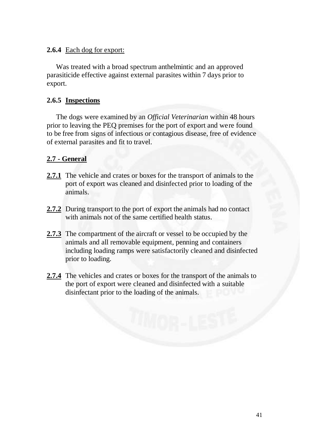### **2.6.4** Each dog for export:

 Was treated with a broad spectrum anthelmintic and an approved parasiticide effective against external parasites within 7 days prior to export.

### **2.6.5 Inspections**

 The dogs were examined by an *Official Veterinarian* within 48 hours prior to leaving the PEQ premises for the port of export and were found to be free from signs of infectious or contagious disease, free of evidence of external parasites and fit to travel.

### **2.7 - General**

- **2.7.1** The vehicle and crates or boxes for the transport of animals to the port of export was cleaned and disinfected prior to loading of the animals.
- **2.7.2** During transport to the port of export the animals had no contact with animals not of the same certified health status.
- 2.7.3 The compartment of the aircraft or vessel to be occupied by the animals and all removable equipment, penning and containers including loading ramps were satisfactorily cleaned and disinfected prior to loading.
- **2.7.4** The vehicles and crates or boxes for the transport of the animals to the port of export were cleaned and disinfected with a suitable disinfectant prior to the loading of the animals.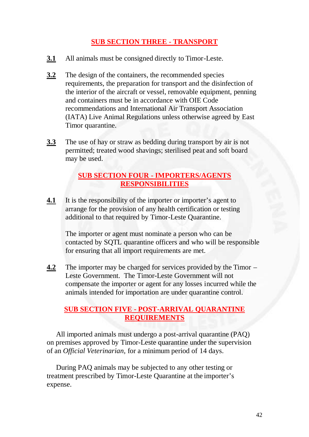### **SUB SECTION THREE - TRANSPORT**

- **3.1** All animals must be consigned directly to Timor-Leste.
- **3.2** The design of the containers, the recommended species requirements, the preparation for transport and the disinfection of the interior of the aircraft or vessel, removable equipment, penning and containers must be in accordance with OIE Code recommendations and International Air Transport Association (IATA) Live Animal Regulations unless otherwise agreed by East Timor quarantine.
- **3.3** The use of hay or straw as bedding during transport by air is not permitted; treated wood shavings; sterilised peat and soft board may be used.

### **SUB SECTION FOUR - IMPORTERS/AGENTS RESPONSIBILITIES**

**4.1** It is the responsibility of the importer or importer's agent to arrange for the provision of any health certification or testing additional to that required by Timor-Leste Quarantine.

The importer or agent must nominate a person who can be contacted by SQTL quarantine officers and who will be responsible for ensuring that all import requirements are met.

**4.2** The importer may be charged for services provided by the Timor – Leste Government. The Timor-Leste Government will not compensate the importer or agent for any losses incurred while the animals intended for importation are under quarantine control.

### **SUB SECTION FIVE - POST-ARRIVAL QUARANTINE REQUIREMENTS**

 All imported animals must undergo a post-arrival quarantine (PAQ) on premises approved by Timor-Leste quarantine under the supervision of an *Official Veterinarian*, for a minimum period of 14 days.

 During PAQ animals may be subjected to any other testing or treatment prescribed by Timor-Leste Quarantine at the importer's expense.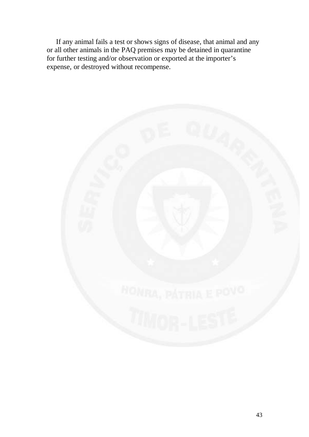If any animal fails a test or shows signs of disease, that animal and any or all other animals in the PAQ premises may be detained in quarantine for further testing and/or observation or exported at the importer's expense, or destroyed without recompense.

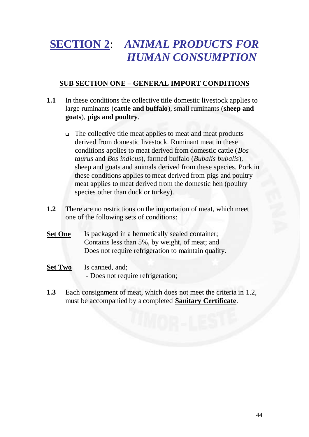# **SECTION 2**: *ANIMAL PRODUCTS FOR HUMAN CONSUMPTION*

# **SUB SECTION ONE – GENERAL IMPORT CONDITIONS**

- **1.1** In these conditions the collective title domestic livestock applies to large ruminants (**cattle and buffalo**), small ruminants (**sheep and goats**), **pigs and poultry**.
	- The collective title meat applies to meat and meat products derived from domestic livestock. Ruminant meat in these conditions applies to meat derived from domestic cattle (*Bos taurus* and *Bos indicus*), farmed buffalo (*Bubalis bubalis*), sheep and goats and animals derived from these species. Pork in these conditions applies to meat derived from pigs and poultry meat applies to meat derived from the domestic hen (poultry species other than duck or turkey).
- **1.2** There are no restrictions on the importation of meat, which meet one of the following sets of conditions:
- **Set One** Is packaged in a hermetically sealed container; Contains less than 5%, by weight, of meat; and Does not require refrigeration to maintain quality.
- Set Two Is canned, and; - Does not require refrigeration;
- **1.3** Each consignment of meat, which does not meet the criteria in 1.2, must be accompanied by a completed **Sanitary Certificate**.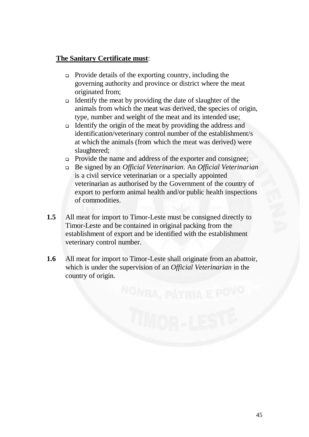### **The Sanitary Certificate must**:

- Provide details of the exporting country, including the governing authority and province or district where the meat originated from;
- Identify the meat by providing the date of slaughter of the animals from which the meat was derived, the species of origin, type, number and weight of the meat and its intended use;
- Identify the origin of the meat by providing the address and identification/veterinary control number of the establishment/s at which the animals (from which the meat was derived) were slaughtered;
- **Provide the name and address of the exporter and consignee;**
- Be signed by an *Official Veterinarian*. An *Official Veterinarian* is a civil service veterinarian or a specially appointed veterinarian as authorised by the Government of the country of export to perform animal health and/or public health inspections of commodities.
- **1.5** All meat for import to Timor-Leste must be consigned directly to Timor-Leste and be contained in original packing from the establishment of export and be identified with the establishment veterinary control number.
- **1.6** All meat for import to Timor-Leste shall originate from an abattoir, which is under the supervision of an *Official Veterinarian* in the country of origin.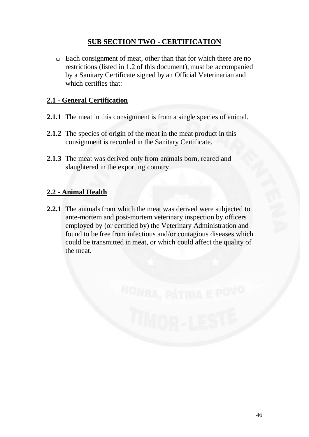# **SUB SECTION TWO - CERTIFICATION**

 Each consignment of meat, other than that for which there are no restrictions (listed in 1.2 of this document), must be accompanied by a Sanitary Certificate signed by an Official Veterinarian and which certifies that:

## **2.1 - General Certification**

- **2.1.1** The meat in this consignment is from a single species of animal.
- **2.1.2** The species of origin of the meat in the meat product in this consignment is recorded in the Sanitary Certificate.
- **2.1.3** The meat was derived only from animals born, reared and slaughtered in the exporting country.

# **2.2 - Animal Health**

**2.2.1** The animals from which the meat was derived were subjected to ante-mortem and post-mortem veterinary inspection by officers employed by (or certified by) the Veterinary Administration and found to be free from infectious and/or contagious diseases which could be transmitted in meat, or which could affect the quality of the meat.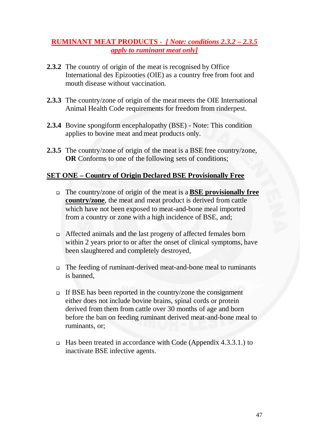### **RUMINANT MEAT PRODUCTS -** *[ Note: conditions 2.3.2 – 2.3.5 apply to ruminant meat only]*

- **2.3.2** The country of origin of the meat is recognised by Office International des Epizooties (OIE) as a country free from foot and mouth disease without vaccination.
- **2.3.3** The country/zone of origin of the meat meets the OIE International Animal Health Code requirements for freedom from rinderpest.
- **2.3.4** Bovine spongiform encephalopathy (BSE) Note: This condition applies to bovine meat and meat products only.
- **2.3.5** The country/zone of origin of the meat is a BSE free country/zone, **OR** Conforms to one of the following sets of conditions;

### **SET ONE – Country of Origin Declared BSE Provisionally Free**

- The country/zone of origin of the meat is a **BSE provisionally free country/zone**, the meat and meat product is derived from cattle which have not been exposed to meat-and-bone meal imported from a country or zone with a high incidence of BSE, and;
- Affected animals and the last progeny of affected females born within 2 years prior to or after the onset of clinical symptoms, have been slaughtered and completely destroyed,
- The feeding of ruminant-derived meat-and-bone meal to ruminants is banned,
- $\Box$  If BSE has been reported in the country/zone the consignment either does not include bovine brains, spinal cords or protein derived from them from cattle over 30 months of age and born before the ban on feeding ruminant derived meat-and-bone meal to ruminants, or;
- Has been treated in accordance with Code (Appendix 4.3.3.1.) to inactivate BSE infective agents.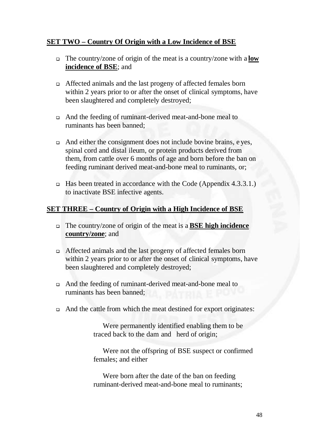### **SET TWO – Country Of Origin with a Low Incidence of BSE**

- The country/zone of origin of the meat is a country/zone with a **low incidence of BSE**; and
- Affected animals and the last progeny of affected females born within 2 years prior to or after the onset of clinical symptoms, have been slaughtered and completely destroyed;
- And the feeding of ruminant-derived meat-and-bone meal to ruminants has been banned;
- $\Box$  And either the consignment does not include bovine brains, e yes, spinal cord and distal ileum, or protein products derived from them, from cattle over 6 months of age and born before the ban on feeding ruminant derived meat-and-bone meal to ruminants, or;
- □ Has been treated in accordance with the Code (Appendix 4.3.3.1.) to inactivate BSE infective agents.

### **SET THREE – Country of Origin with a High Incidence of BSE**

- The country/zone of origin of the meat is a **BSE high incidence country/zone**; and
- Affected animals and the last progeny of affected females born within 2 years prior to or after the onset of clinical symptoms, have been slaughtered and completely destroyed;
- And the feeding of ruminant-derived meat-and-bone meal to ruminants has been banned;
- And the cattle from which the meat destined for export originates:

 Were permanently identified enabling them to be traced back to the dam and herd of origin;

 Were not the offspring of BSE suspect or confirmed females; and either

 Were born after the date of the ban on feeding ruminant-derived meat-and-bone meal to ruminants;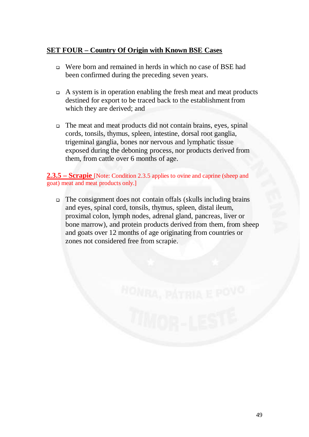### **SET FOUR – Country Of Origin with Known BSE Cases**

- Were born and remained in herds in which no case of BSE had been confirmed during the preceding seven years.
- $\Box$  A system is in operation enabling the fresh meat and meat products destined for export to be traced back to the establishment from which they are derived; and
- The meat and meat products did not contain brains, eyes, spinal cords, tonsils, thymus, spleen, intestine, dorsal root ganglia, trigeminal ganglia, bones nor nervous and lymphatic tissue exposed during the deboning process, nor products derived from them, from cattle over 6 months of age.

### **2.3.5 – Scrapie** [Note: Condition 2.3.5 applies to ovine and caprine (sheep and goat) meat and meat products only.]

 $\Box$  The consignment does not contain offals (skulls including brains and eyes, spinal cord, tonsils, thymus, spleen, distal ileum, proximal colon, lymph nodes, adrenal gland, pancreas, liver or bone marrow), and protein products derived from them, from sheep and goats over 12 months of age originating from countries or zones not considered free from scrapie.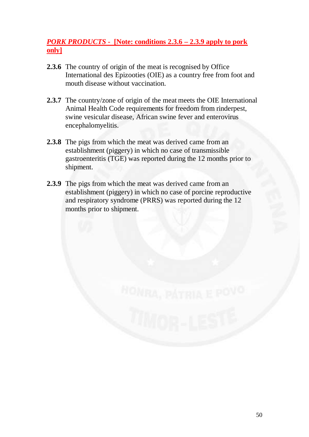# *PORK PRODUCTS -* **[Note: conditions 2.3.6 – 2.3.9 apply to pork only]**

- **2.3.6** The country of origin of the meat is recognised by Office International des Epizooties (OIE) as a country free from foot and mouth disease without vaccination.
- **2.3.7** The country/zone of origin of the meat meets the OIE International Animal Health Code requirements for freedom from rinderpest, swine vesicular disease, African swine fever and enterovirus encephalomyelitis.
- **2.3.8** The pigs from which the meat was derived came from an establishment (piggery) in which no case of transmissible gastroenteritis (TGE) was reported during the 12 months prior to shipment.
- **2.3.9** The pigs from which the meat was derived came from an establishment (piggery) in which no case of porcine reproductive and respiratory syndrome (PRRS) was reported during the 12 months prior to shipment.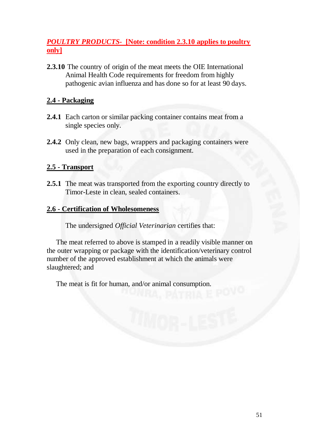# *POULTRY PRODUCTS-* **[Note: condition 2.3.10 applies to poultry only]**

**2.3.10** The country of origin of the meat meets the OIE International Animal Health Code requirements for freedom from highly pathogenic avian influenza and has done so for at least 90 days.

### **2.4 - Packaging**

- **2.4.1** Each carton or similar packing container contains meat from a single species only.
- **2.4.2** Only clean, new bags, wrappers and packaging containers were used in the preparation of each consignment.

### **2.5 - Transport**

**2.5.1** The meat was transported from the exporting country directly to Timor-Leste in clean, sealed containers.

### **2.6 - Certification of Wholesomeness**

The undersigned *Official Veterinarian* certifies that:

 The meat referred to above is stamped in a readily visible manner on the outer wrapping or package with the identification/veterinary control number of the approved establishment at which the animals were slaughtered; and

The meat is fit for human, and/or animal consumption.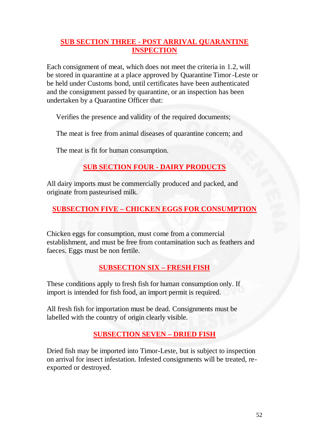# **SUB SECTION THREE - POST ARRIVAL QUARANTINE INSPECTION**

Each consignment of meat, which does not meet the criteria in 1.2, will be stored in quarantine at a place approved by Quarantine Timor -Leste or be held under Customs bond, until certificates have been authenticated and the consignment passed by quarantine, or an inspection has been undertaken by a Quarantine Officer that:

Verifies the presence and validity of the required documents;

The meat is free from animal diseases of quarantine concern; and

The meat is fit for human consumption.

# **SUB SECTION FOUR - DAIRY PRODUCTS**

All dairy imports must be commercially produced and packed, and originate from pasteurised milk.

# **SUBSECTION FIVE – CHICKEN EGGS FOR CONSUMPTION**

Chicken eggs for consumption, must come from a commercial establishment, and must be free from contamination such as feathers and faeces. Eggs must be non fertile.

# **SUBSECTION SIX – FRESH FISH**

These conditions apply to fresh fish for human consumption only. If import is intended for fish food, an import permit is required.

All fresh fish for importation must be dead. Consignments must be labelled with the country of origin clearly visible.

# **SUBSECTION SEVEN – DRIED FISH**

Dried fish may be imported into Timor-Leste, but is subject to inspection on arrival for insect infestation. Infested consignments will be treated, reexported or destroyed.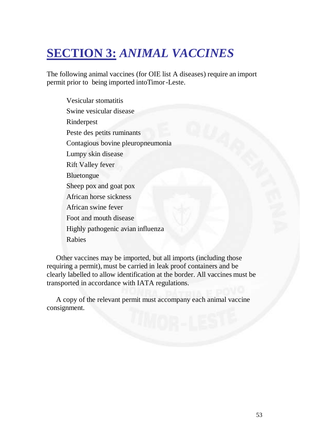# **SECTION 3:** *ANIMAL VACCINES*

The following animal vaccines (for OIE list A diseases) require an import permit prior to being imported intoTimor-Leste.

Vesicular stomatitis Swine vesicular disease Rinderpest Peste des petits ruminants Contagious bovine pleuropneumonia Lumpy skin disease Rift Valley fever Bluetongue Sheep pox and goat pox African horse sickness African swine fever Foot and mouth disease Highly pathogenic avian influenza Rabies

 Other vaccines may be imported, but all imports (including those requiring a permit), must be carried in leak proof containers and be clearly labelled to allow identification at the border. All vaccines must be transported in accordance with IATA regulations.

 A copy of the relevant permit must accompany each animal vaccine consignment.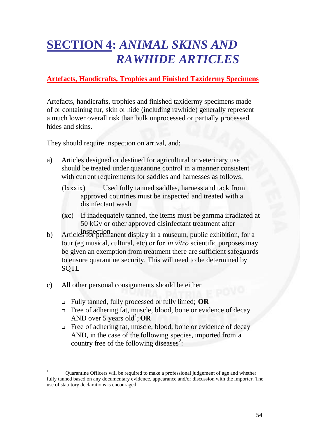# **SECTION 4:** *ANIMAL SKINS AND RAWHIDE ARTICLES*

# **Artefacts, Handicrafts, Trophies and Finished Taxidermy Specimens**

Artefacts, handicrafts, trophies and finished taxidermy specimens made of or containing fur, skin or hide (including rawhide) generally represent a much lower overall risk than bulk unprocessed or partially processed hides and skins.

They should require inspection on arrival, and;

- a) Articles designed or destined for agricultural or veterinary use should be treated under quarantine control in a manner consistent with current requirements for saddles and harnesses as follows:
	- (lxxxix) Used fully tanned saddles, harness and tack from approved countries must be inspected and treated with a disinfectant wash
	- (xc) If inadequately tanned, the items must be gamma irradiated at 50 kGy or other approved disinfectant treatment after
- b) Articles for permanent display in a museum, public exhibition, for a tour (eg musical, cultural, etc) or for *in vitro* scientific purposes may be given an exemption from treatment there are sufficient safeguards to ensure quarantine security. This will need to be determined by SQTL
- c) All other personal consignments should be either

 $\overline{a}$ 

- Fully tanned, fully processed or fully limed; **OR**
- Free of adhering fat, muscle, blood, bone or evidence of decay AND over 5 years old<sup>1</sup>; OR
- □ Free of adhering fat, muscle, blood, bone or evidence of decay AND, in the case of the following species, imported from a country free of the following diseases<sup>2</sup>:

<sup>1</sup> Quarantine Officers will be required to make a professional judgement of age and whether fully tanned based on any documentary evidence, appearance and/or discussion with the importer. The use of statutory declarations is encouraged.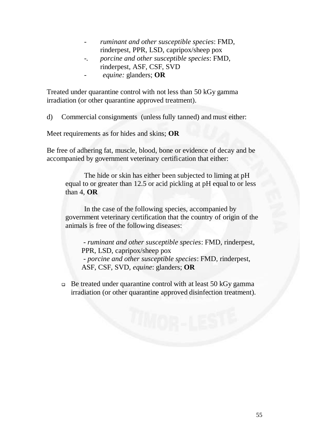- *ruminant and other susceptible species*: FMD, rinderpest, PPR, LSD, capripox/sheep pox
- *-. porcine and other susceptible species*: FMD, rinderpest, ASF, CSF, SVD
- *equine:* glanders; **OR**

Treated under quarantine control with not less than 50 kGy gamma irradiation (or other quarantine approved treatment).

d) Commercial consignments (unless fully tanned) and must either:

Meet requirements as for hides and skins; **OR**

Be free of adhering fat, muscle, blood, bone or evidence of decay and be accompanied by government veterinary certification that either:

 The hide or skin has either been subjected to liming at pH equal to or greater than 12.5 or acid pickling at pH equal to or less than 4, **OR**

 In the case of the following species, accompanied by government veterinary certification that the country of origin of the animals is free of the following diseases:

 *- ruminant and other susceptible species*: FMD, rinderpest, PPR, LSD, capripox/sheep pox  *- porcine and other susceptible species*: FMD, rinderpest, ASF, CSF, SVD, *equine*: glanders; **OR** 

 $\Box$  Be treated under quarantine control with at least 50 kGy gamma irradiation (or other quarantine approved disinfection treatment).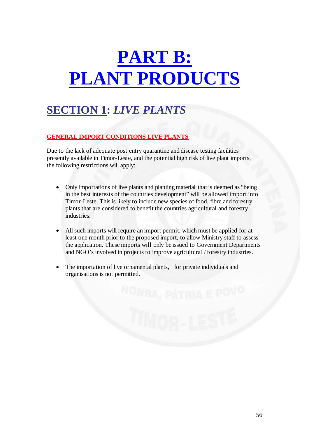# **PART B: PLANT PRODUCTS**

# **SECTION 1:** *LIVE PLANTS*

### **GENERAL IMPORT CONDITIONS LIVE PLANTS**

Due to the lack of adequate post entry quarantine and disease testing facilities presently available in Timor-Leste, and the potential high risk of live plant imports, the following restrictions will apply:

- Only importations of live plants and planting material that is deemed as "being in the best interests of the countries development" will be allowed import into Timor-Leste. This is likely to include new species of food, fibre and forestry plants that are considered to benefit the countries agricultural and forestry industries.
- All such imports will require an import permit, which must be applied for at least one month prior to the proposed import, to allow Ministry staff to assess the application. These imports will only be issued to Government Departments and NGO's involved in projects to improve agricultural / forestry industries.
- The importation of live ornamental plants, for private individuals and organisations is not permitted.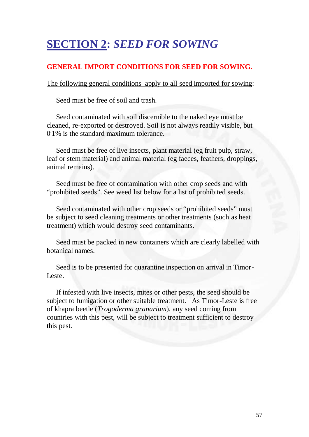# **SECTION 2:** *SEED FOR SOWING*

## **GENERAL IMPORT CONDITIONS FOR SEED FOR SOWING.**

The following general conditions apply to all seed imported for sowing:

Seed must be free of soil and trash.

 Seed contaminated with soil discernible to the naked eye must be cleaned, re-exported or destroyed. Soil is not always readily visible, but 0.1% is the standard maximum tolerance.

 Seed must be free of live insects, plant material (eg fruit pulp, straw, leaf or stem material) and animal material (eg faeces, feathers, droppings, animal remains).

 Seed must be free of contamination with other crop seeds and with "prohibited seeds". See weed list below for a list of prohibited seeds.

 Seed contaminated with other crop seeds or "prohibited seeds" must be subject to seed cleaning treatments or other treatments (such as heat treatment) which would destroy seed contaminants.

 Seed must be packed in new containers which are clearly labelled with botanical names.

 Seed is to be presented for quarantine inspection on arrival in Timor-Leste.

 If infested with live insects, mites or other pests, the seed should be subject to fumigation or other suitable treatment. As Timor-Leste is free of khapra beetle (*Trogoderma granarium*), any seed coming from countries with this pest, will be subject to treatment sufficient to destroy this pest.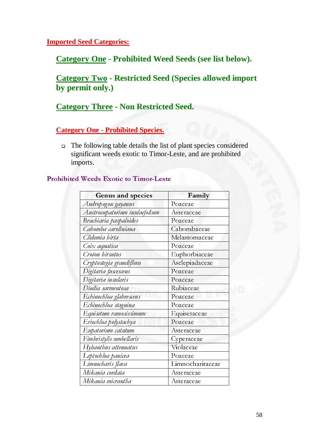**Imported Seed Categories:**

**Category One - Prohibited Weed Seeds (see list below).** 

**Category Two - Restricted Seed (Species allowed import by permit only.)** 

# **Category Three - Non Restricted Seed.**

**Category One - Prohibited Species.**

 The following table details the list of plant species considered significant weeds exotic to Timor-Leste, and are prohibited imports.

### Prohibited Weeds Exotic to Timor-Leste

| Genus and species             | Family           |
|-------------------------------|------------------|
| Andropogon gayanus            | Poaceae          |
| Austroeupatorium inulaefolium | Asteraceae       |
| Brachiaria paspaloides        | Poaceae          |
| Cabomba caroliniana           | Cabombaceae      |
| Clidemia hirta                | Melastomaceae    |
| Coix aquatica                 | Poaceae          |
| Croton hirsutus               | Euphorbiaceae    |
| Cryptostegia grandiflora      | Asclepiadaceae   |
| Digitaria fuscescens          | Poaceae          |
| Digitaria insularis           | Poaceae          |
| Diodia sarmentosa             | Rubiaceae        |
| Echinochloa glabrescens       | Poaceae          |
| Echinochloa stagnina          | Poaceae          |
| Equisetum ramosissimum        | Equisetaceae     |
| Eriochloa polystachya         | Poaceae          |
| Eupatorium catatum            | Asteraceae       |
| Fimbristylis umbellaris       | Cyperaceae       |
| Hybanthus attenuatus          | Violaceae        |
| Leptochloa panicea            | Poaceae          |
| Limnocharis flava             | Limnocharitaceae |
| Mikania cordata               | Asteraceae       |
| Mikania micrantha             | Asteraceae       |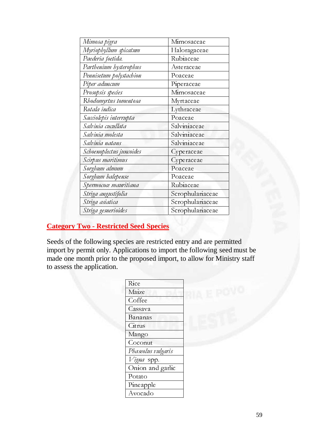| Mimosa pigra             | Mimosaceae       |
|--------------------------|------------------|
| Myriophyllum spicatum    | Haloragaceae     |
| Paederia foetida.        | Rubiaceae        |
| Parthenium hysterophus   | Asteraceae       |
| Pennisetum polystachion  | Poaceae          |
| Piper aduncum            | Piperaceae       |
| Prosopsis species        | Mimosaceae       |
| Rhodomyrtus tomentosa    | Myrtaceae        |
| Rotala indica            | Lythraceae       |
| Sacciolepis interrupta   | Poaceae          |
| Salvinia cucullata       | Salviniaceae     |
| Salvinia molesta         | Salviniaceae     |
| Salvinia natans          | Salviniaceae     |
| Schoenoplectus juncoides | Cyperaceae       |
| Scirpus maritimus        | Cyperaceae       |
| Sorghum almum            | Poaceae          |
| Sorghum halepense        | Poaceae          |
| Spermococe mauritiana    | Rubiaceae        |
| Striga angustifolia      | Scrophulariaceae |
| Striga asiatica          | Scrophulariaceae |
| Striga gesnerioides      | Scrophulariaceae |

# **Category Two - Restricted Seed Species**

Seeds of the following species are restricted entry and are permitted import by permit only. Applications to import the following seed must be made one month prior to the proposed import, to allow for Ministry staff to assess the application.

| Rice               |
|--------------------|
| Maize              |
| Coffee             |
| Cassava            |
| Bananas            |
| Citrus             |
| Mango              |
| Coconut            |
| Phaseolus vulgaris |
| Vigna spp.         |
| Onion and garlic   |
| Potato             |
| Pineapple          |
| Avocado            |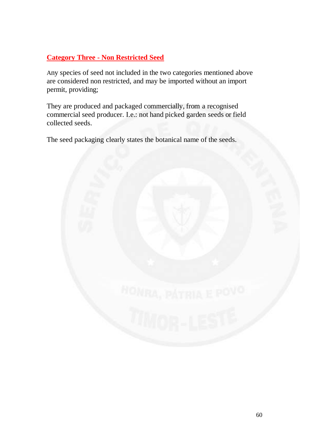# **Category Three - Non Restricted Seed**

Any species of seed not included in the two categories mentioned above are considered non restricted, and may be imported without an import permit, providing;

They are produced and packaged commercially, from a recognised commercial seed producer. I.e.: not hand picked garden seeds or field collected seeds.

The seed packaging clearly states the botanical name of the seeds.

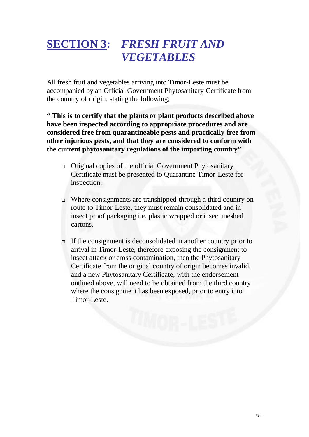# **SECTION 3:** *FRESH FRUIT AND VEGETABLES*

All fresh fruit and vegetables arriving into Timor-Leste must be accompanied by an Official Government Phytosanitary Certificate from the country of origin, stating the following;

**" This is to certify that the plants or plant products described above have been inspected according to appropriate procedures and are considered free from quarantineable pests and practically free from other injurious pests, and that they are considered to conform with the current phytosanitary regulations of the importing country"** 

- Original copies of the official Government Phytosanitary Certificate must be presented to Quarantine Timor-Leste for inspection.
- Where consignments are transhipped through a third country on route to Timor-Leste, they must remain consolidated and in insect proof packaging i.e. plastic wrapped or insect meshed cartons.
- If the consignment is deconsolidated in another country prior to arrival in Timor-Leste, therefore exposing the consignment to insect attack or cross contamination, then the Phytosanitary Certificate from the original country of origin becomes invalid, and a new Phytosanitary Certificate, with the endorsement outlined above, will need to be obtained from the third country where the consignment has been exposed, prior to entry into Timor-Leste.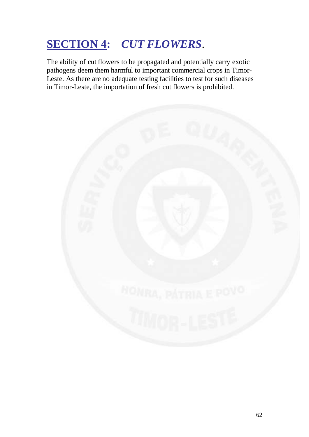# **SECTION 4:** *CUT FLOWERS*.

The ability of cut flowers to be propagated and potentially carry exotic pathogens deem them harmful to important commercial crops in Timor-Leste. As there are no adequate testing facilities to test for such diseases in Timor-Leste, the importation of fresh cut flowers is prohibited.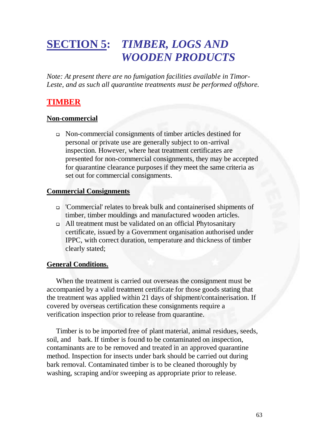# **SECTION 5:** *TIMBER, LOGS AND WOODEN PRODUCTS*

*Note: At present there are no fumigation facilities available in Timor-*Leste, and as such all quarantine treatments must be performed offshore.

# **TIMBER**

### **Non-commercial**

 Non-commercial consignments of timber articles destined for personal or private use are generally subject to on-arrival inspection. However, where heat treatment certificates are presented for non-commercial consignments, they may be accepted for quarantine clearance purposes if they meet the same criteria as set out for commercial consignments.

### **Commercial Consignments**

- 'Commercial' relates to break bulk and containerised shipments of timber, timber mouldings and manufactured wooden articles.
- All treatment must be validated on an official Phytosanitary certificate, issued by a Government organisation authorised under IPPC, with correct duration, temperature and thickness of timber clearly stated;

### **General Conditions.**

 When the treatment is carried out overseas the consignment must be accompanied by a valid treatment certificate for those goods stating that the treatment was applied within 21 days of shipment/containerisation. If covered by overseas certification these consignments require a verification inspection prior to release from quarantine.

 Timber is to be imported free of plant material, animal residues, seeds, soil, and bark. If timber is found to be contaminated on inspection, contaminants are to be removed and treated in an approved quarantine method. Inspection for insects under bark should be carried out during bark removal. Contaminated timber is to be cleaned thoroughly by washing, scraping and/or sweeping as appropriate prior to release.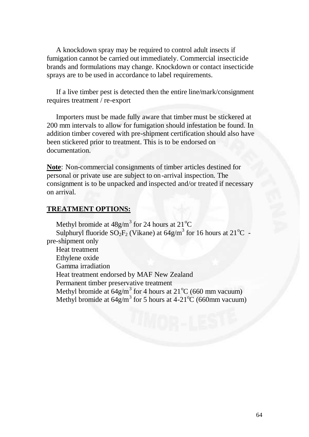A knockdown spray may be required to control adult insects if fumigation cannot be carried out immediately. Commercial insecticide brands and formulations may change. Knockdown or contact insecticide sprays are to be used in accordance to label requirements.

 If a live timber pest is detected then the entire line/mark/consignment requires treatment / re-export

 Importers must be made fully aware that timber must be stickered at 200 mm intervals to allow for fumigation should infestation be found. In addition timber covered with pre-shipment certification should also have been stickered prior to treatment. This is to be endorsed on documentation.

**Note**: Non-commercial consignments of timber articles destined for personal or private use are subject to on-arrival inspection. The consignment is to be unpacked and inspected and/or treated if necessary on arrival.

### **TREATMENT OPTIONS:**

Methyl bromide at  $48g/m<sup>3</sup>$  for 24 hours at 21<sup>o</sup>C Sulphuryl fluoride  $SO_2F_2$  (Vikane) at 64g/m<sup>3</sup> for 16 hours at 21<sup>o</sup>C pre-shipment only Heat treatment Ethylene oxide Gamma irradiation Heat treatment endorsed by MAF New Zealand Permanent timber preservative treatment Methyl bromide at  $64g/m^3$  for 4 hours at  $21^{\circ}$ C (660 mm vacuum) Methyl bromide at  $64g/m^3$  for 5 hours at  $4-21^{\circ}C$  (660mm vacuum)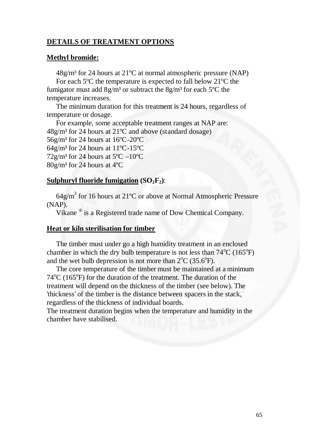### **DETAILS OF TREATMENT OPTIONS**

#### **Methyl bromide:**

 $48g/m<sup>3</sup>$  for 24 hours at 21<sup>o</sup>C at normal atmospheric pressure (NAP) For each 5ºC the temperature is expected to fall below 21ºC the fumigator must add  $8g/m<sup>3</sup>$  or subtract the  $8g/m<sup>3</sup>$  for each 5<sup>o</sup>C the temperature increases.

 The minimum duration for this treatment is 24 hours, regardless of temperature or dosage.

 For example, some acceptable treatment ranges at NAP are: 48g/m³ for 24 hours at 21ºC and above (standard dosage) 56g/m³ for 24 hours at 16ºC-20ºC  $64g/m<sup>3</sup>$  for 24 hours at 11<sup>o</sup>C-15<sup>o</sup>C  $72g/m^3$  for 24 hours at  $5^{\circ}$ C  $-10^{\circ}$ C  $80g/m<sup>3</sup>$  for 24 hours at 4 $°C$ 

#### **Sulphuryl fluoride fumigation**  $(SO_2F_2)$ **:**

 $64$ g/m<sup>3</sup> for 16 hours at 21<sup>o</sup>C or above at Normal Atmospheric Pressure (NAP).

Vikane ® is a Registered trade name of Dow Chemical Company.

#### **Heat or kiln sterilisation for timber**

 The timber must under go a high humidity treatment in an enclosed chamber in which the dry bulb temperature is not less than  $74^{\circ}$ C (165 $^{\circ}$ F) and the wet bulb depression is not more than  $2^{\circ}C$  (35.6 $^{\circ}F$ ).

 The core temperature of the timber must be maintained at a minimum 74<sup>o</sup>C (165<sup>o</sup>F) for the duration of the treatment. The duration of the treatment will depend on the thickness of the timber (see below). The 'thickness' of the timber is the distance between spacers in the stack, regardless of the thickness of individual boards.

The treatment duration begins when the temperature and humidity in the chamber have stabilised.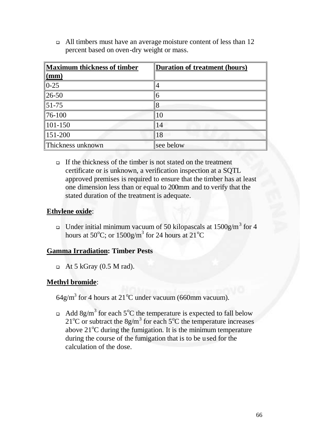All timbers must have an average moisture content of less than 12 percent based on oven-dry weight or mass.

| Maximum thickness of timber       | Duration of treatment (hours) |
|-----------------------------------|-------------------------------|
| $\frac{(\text{mm})}{(\text{mm})}$ |                               |
| $\parallel$ 0-25                  |                               |
| $ 26-50 $                         | 6                             |
| $\vert 51 - 75 \vert$             | 8                             |
| $\ 76 - 100$                      | 10                            |
| $\parallel$ 101-150               | 14                            |
| $\parallel$ 151-200               | 18                            |
| Thickness unknown                 | see below                     |

 $\Box$  If the thickness of the timber is not stated on the treatment certificate or is unknown, a verification inspection at a SQTL approved premises is required to ensure that the timber has at least one dimension less than or equal to 200mm and to verify that the stated duration of the treatment is adequate.

### **Ethylene oxide**:

□ Under initial minimum vacuum of 50 kilopascals at  $1500$ g/m<sup>3</sup> for 4 hours at 50 $^{\circ}$ C; or 1500g/m<sup>3</sup> for 24 hours at 21 $^{\circ}$ C

### **Gamma Irradiation: Timber Pests**

 $\Box$  At 5 kGray (0.5 M rad).

### **Methyl bromide**:

 $64$ g/m<sup>3</sup> for 4 hours at 21<sup>o</sup>C under vacuum (660mm vacuum).

Add 8g/m<sup>3</sup> for each 5<sup>o</sup>C the temperature is expected to fall below 21<sup>o</sup>C or subtract the 8g/m<sup>3</sup> for each 5<sup>o</sup>C the temperature increases above  $21^{\circ}$ C during the fumigation. It is the minimum temperature during the course of the fumigation that is to be used for the calculation of the dose.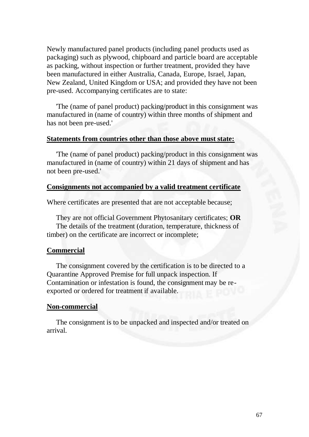Newly manufactured panel products (including panel products used as packaging) such as plywood, chipboard and particle board are acceptable as packing, without inspection or further treatment, provided they have been manufactured in either Australia, Canada, Europe, Israel, Japan, New Zealand, United Kingdom or USA; and provided they have not been pre-used. Accompanying certificates are to state:

 'The (name of panel product) packing/product in this consignment was manufactured in (name of country) within three months of shipment and has not been pre-used.'

#### **Statements from countries other than those above must state:**

 'The (name of panel product) packing/product in this consignment was manufactured in (name of country) within 21 days of shipment and has not been pre-used.'

#### **Consignments not accompanied by a valid treatment certificate**

Where certificates are presented that are not acceptable because;

 They are not official Government Phytosanitary certificates; **OR** The details of the treatment (duration, temperature, thickness of timber) on the certificate are incorrect or incomplete;

#### **Commercial**

 The consignment covered by the certification is to be directed to a Quarantine Approved Premise for full unpack inspection. If Contamination or infestation is found, the consignment may be reexported or ordered for treatment if available.

#### **Non-commercial**

 The consignment is to be unpacked and inspected and/or treated on arrival.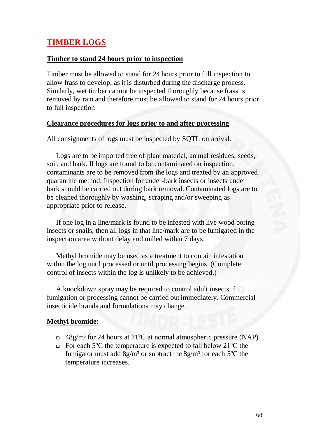# **TIMBER LOGS**

### **Timber to stand 24 hours prior to inspection**

Timber must be allowed to stand for 24 hours prior to full inspection to allow frass to develop, as it is disturbed during the discharge process. Similarly, wet timber cannot be inspected thoroughly because frass is removed by rain and therefore must be allowed to stand for 24 hours prior to full inspection

### **Clearance procedures for logs prior to and after processing**

All consignments of logs must be inspected by SQTL on arrival.

 Logs are to be imported free of plant material, animal residues, seeds, soil, and bark. If logs are found to be contaminated on inspection, contaminants are to be removed from the logs and treated by an approved quarantine method. Inspection for under-bark insects or insects under bark should be carried out during bark removal. Contaminated logs are to be cleaned thoroughly by washing, scraping and/or sweeping as appropriate prior to release.

 If one log in a line/mark is found to be infested with live wood boring insects or snails, then all logs in that line/mark are to be fumigated in the inspection area without delay and milled within 7 days.

 Methyl bromide may be used as a treatment to contain infestation within the log until processed or until processing begins. (Complete control of insects within the log is unlikely to be achieved.)

A knockdown spray may be required to control adult insects if fumigation or processing cannot be carried out immediately. Commercial insecticide brands and formulations may change.

### **Methyl bromide:**

- $\Box$  48g/m<sup>3</sup> for 24 hours at 21<sup>o</sup>C at normal atmospheric pressure (NAP)
- For each 5ºC the temperature is expected to fall below 21ºC the fumigator must add  $8g/m<sup>3</sup>$  or subtract the  $8g/m<sup>3</sup>$  for each 5<sup>o</sup>C the temperature increases.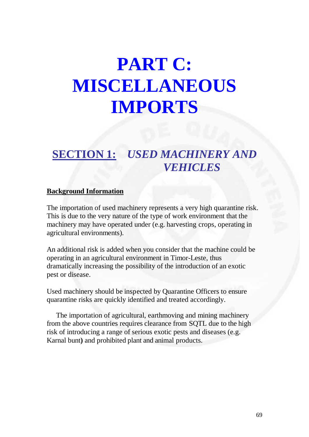# **PART C: MISCELLANEOUS IMPORTS**

# **SECTION 1:** *USED MACHINERY AND VEHICLES*

### **Background Information**

The importation of used machinery represents a very high quarantine risk. This is due to the very nature of the type of work environment that the machinery may have operated under (e.g. harvesting crops, operating in agricultural environments).

An additional risk is added when you consider that the machine could be operating in an agricultural environment in Timor-Leste, thus dramatically increasing the possibility of the introduction of an exotic pest or disease.

Used machinery should be inspected by Quarantine Officers to ensure quarantine risks are quickly identified and treated accordingly.

 The importation of agricultural, earthmoving and mining machinery from the above countries requires clearance from SQTL due to the high risk of introducing a range of serious exotic pests and diseases (e.g. Karnal bunt**)** and prohibited plant and animal products.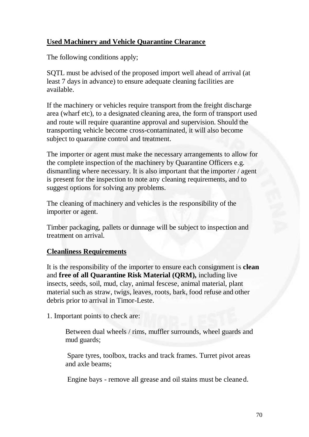# **Used Machinery and Vehicle Quarantine Clearance**

The following conditions apply;

SQTL must be advised of the proposed import well ahead of arrival (at least 7 days in advance) to ensure adequate cleaning facilities are available.

If the machinery or vehicles require transport from the freight discharge area (wharf etc), to a designated cleaning area, the form of transport used and route will require quarantine approval and supervision. Should the transporting vehicle become cross-contaminated, it will also become subject to quarantine control and treatment.

The importer or agent must make the necessary arrangements to allow for the complete inspection of the machinery by Quarantine Officers e.g. dismantling where necessary. It is also important that the importer / agent is present for the inspection to note any cleaning requirements, and to suggest options for solving any problems.

The cleaning of machinery and vehicles is the responsibility of the importer or agent.

Timber packaging, pallets or dunnage will be subject to inspection and treatment on arrival.

# **Cleanliness Requirements**

It is the responsibility of the importer to ensure each consignment is **clean** and **free of all Quarantine Risk Material (QRM),** including live insects, seeds, soil, mud, clay, animal fescese, animal material, plant material such as straw, twigs, leaves, roots, bark, food refuse and other debris prior to arrival in Timor-Leste.

1. Important points to check are:

Between dual wheels / rims, muffler surrounds, wheel guards and mud guards;

 Spare tyres, toolbox, tracks and track frames. Turret pivot areas and axle beams;

Engine bays - remove all grease and oil stains must be cleaned.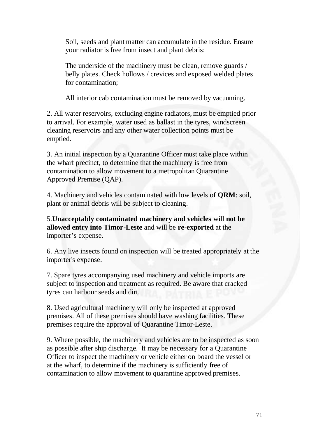Soil, seeds and plant matter can accumulate in the residue. Ensure your radiator is free from insect and plant debris;

The underside of the machinery must be clean, remove guards / belly plates. Check hollows / crevices and exposed welded plates for contamination;

All interior cab contamination must be removed by vacuuming.

2. All water reservoirs, excluding engine radiators, must be emptied prior to arrival. For example, water used as ballast in the tyres, windscreen cleaning reservoirs and any other water collection points must be emptied.

3. An initial inspection by a Quarantine Officer must take place within the wharf precinct, to determine that the machinery is free from contamination to allow movement to a metropolitan Quarantine Approved Premise (QAP).

4. Machinery and vehicles contaminated with low levels of **QRM**: soil, plant or animal debris will be subject to cleaning.

5.**Unacceptably contaminated machinery and vehicles** will **not be allowed entry into Timor-Leste** and will be **re-exported** at the importer's expense.

6. Any live insects found on inspection will be treated appropriately at the importer's expense.

7. Spare tyres accompanying used machinery and vehicle imports are subject to inspection and treatment as required. Be aware that cracked tyres can harbour seeds and dirt.

8. Used agricultural machinery will only be inspected at approved premises. All of these premises should have washing facilities. These premises require the approval of Quarantine Timor-Leste.

9. Where possible, the machinery and vehicles are to be inspected as soon as possible after ship discharge. It may be necessary for a Quarantine Officer to inspect the machinery or vehicle either on board the vessel or at the wharf, to determine if the machinery is sufficiently free of contamination to allow movement to quarantine approved premises.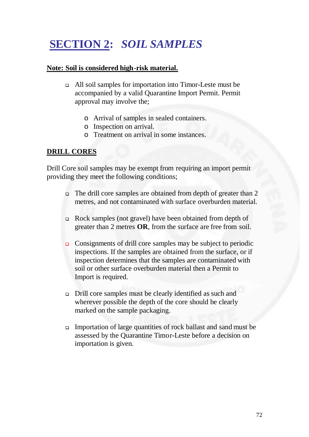# **SECTION 2:** *SOIL SAMPLES*

### **Note: Soil is considered high-risk material.**

- All soil samples for importation into Timor-Leste must be accompanied by a valid Quarantine Import Permit. Permit approval may involve the;
	- o Arrival of samples in sealed containers.
	- o Inspection on arrival.
	- o Treatment on arrival in some instances.

### **DRILL CORES**

Drill Core soil samples may be exempt from requiring an import permit providing they meet the following conditions;

- The drill core samples are obtained from depth of greater than 2 metres, and not contaminated with surface overburden material.
- Rock samples (not gravel) have been obtained from depth of greater than 2 metres **OR**, from the surface are free from soil.
- Consignments of drill core samples may be subject to periodic inspections. If the samples are obtained from the surface, or if inspection determines that the samples are contaminated with soil or other surface overburden material then a Permit to Import is required.
- Drill core samples must be clearly identified as such and wherever possible the depth of the core should be clearly marked on the sample packaging.
- Importation of large quantities of rock ballast and sand must be assessed by the Quarantine Timor-Leste before a decision on importation is given.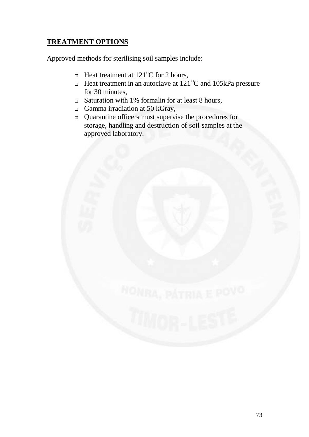### **TREATMENT OPTIONS**

Approved methods for sterilising soil samples include:

- **Heat treatment at 121<sup>o</sup>C for 2 hours,**
- **Heat treatment in an autoclave at 121 °C and 105kPa pressure** for 30 minutes,
- Saturation with 1% formalin for at least 8 hours,
- Gamma irradiation at 50 kGray,
- Quarantine officers must supervise the procedures for storage, handling and destruction of soil samples at the approved laboratory.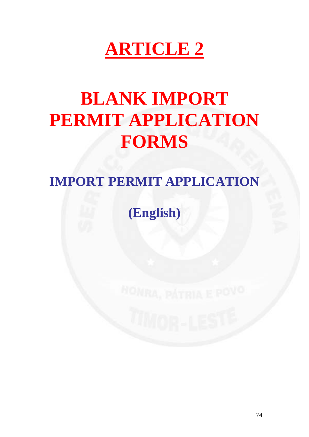# **ARTICLE 2**

# **BLANK IMPORT PERMIT APPLICATION FORMS**

## **IMPORT PERMIT APPLICATION**

## **(English)**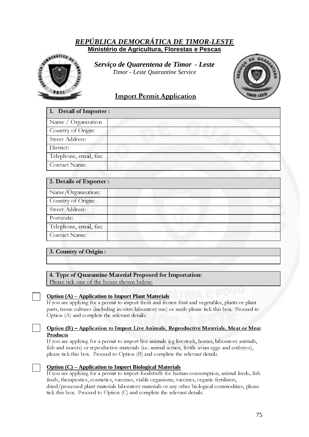#### *REPÚBLICA DEMOCRÁTICA DE TIMOR-LESTE* **Ministério de Agricultura, Florestas e Pescas**



*S Serviço de Quarentena de Timor - Leste Timor - Leste Quarantine Service* 



#### Import Permit Application

| 1. Detail of Importer : |  |
|-------------------------|--|
| Name / Organisation     |  |
| Country of Origin:      |  |
| Street Address:         |  |
| District:               |  |
| Telephone, email, fax:  |  |
| Contact Name:           |  |

| 2. Details of Exporter : |
|--------------------------|
| Name/Organisation:       |
| Country of Origin:       |
| Street Address:          |
| Postcode:                |
| Telephone, email, fax:   |
| Contact Name:            |

#### 3. Country of Origin :

#### 4. Type of Quarantine Material Proposed for Importation:

Please tick one of the boxes shown below:

#### **Option (A) – Application to Import Plant Materials**

If you are applying for a permit to import fresh and frozen fruit and vegetables, plants or plant parts, tissue cultures (including in-vitro laboratory use) or seeds please tick this box. Proceed to Option (A) and complete the relevant details.

#### Option (B) – Application to Import Live Animals, Reproductive Materials, Meat or Meat Products

If you are applying for a permit to import live animals (eg livestock, horses, laboratory animals, fish and insects) or reproductive materials (i.e. animal semen, fertile avian eggs and embryos), please tick this box. Proceed to Option (B) and complete the relevant details.

#### **Option (C) – Application to Import Biological Materials**

If you are applying for a permit to import foodstuffs for human consumption, animal feeds, fish feeds, therapeutics, cosmetics, vaccines, viable organisms, vaccines, organic fertilizers, dried/processed plant materials laboratory materials or any other biological commodities, please tick this box. Proceed to Option (C) and complete the relevant details.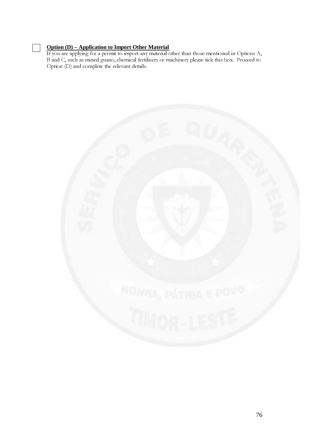#### **Option (D) – Application to Import Other Material**

If you are applying for a permit to import any material other than those mentioned in Options A, B and C, such as mined guano, chemical fertilisers or machinery please tick this box. Proceed to Option (D) and complete the relevant details.

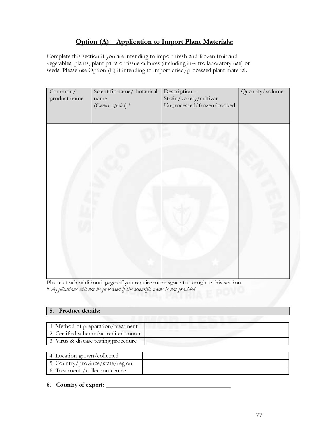### Option (A) – Application to Import Plant Materials:

Complete this section if you are intending to import fresh and frozen fruit and vegetables, plants, plant parts or tissue cultures (including in-vitro laboratory use) or seeds. Please use Option (C) if intending to import dried/processed plant material.

| Common/<br>product name | Scientific name/ botanical<br>name<br>(Genus, species) *                    | Description-<br>Strain/variety/cultivar<br>Unprocessed/frozen/cooked              | Quantity/volume |
|-------------------------|-----------------------------------------------------------------------------|-----------------------------------------------------------------------------------|-----------------|
|                         |                                                                             |                                                                                   |                 |
|                         |                                                                             |                                                                                   |                 |
|                         |                                                                             |                                                                                   |                 |
|                         |                                                                             |                                                                                   |                 |
|                         |                                                                             | Please attach additional pages if you require more space to complete this section |                 |
|                         | * Applications will not be processed if the scientific name is not provided |                                                                                   |                 |
| Product details:<br>5.  |                                                                             |                                                                                   |                 |

Please attach additional pages if you require more space to complete this section \* Applications will not be processed if the scientific name is not provided

| ΙI<br>I<br>$\overline{a}$<br>$\mathbb{R}^T$<br>E IMMOR |    |
|--------------------------------------------------------|----|
| Product details:<br>5.                                 |    |
|                                                        |    |
| 1. Method of preparation/treatment                     |    |
| 2. Certified scheme/accredited source                  |    |
| 3. Virus & disease testing procedure                   |    |
| 4. Location grown/collected                            |    |
| 5. Country/province/state/region                       |    |
| 6. Treatment / collection centre                       |    |
|                                                        |    |
| 6. Country of export:                                  |    |
|                                                        |    |
|                                                        |    |
|                                                        |    |
|                                                        | 77 |
|                                                        |    |
|                                                        |    |
|                                                        |    |
|                                                        |    |
|                                                        |    |
|                                                        |    |
|                                                        |    |
|                                                        |    |
|                                                        |    |
|                                                        |    |
|                                                        |    |
|                                                        |    |
|                                                        |    |

| 4. Location grown/collected      |  |
|----------------------------------|--|
| 5. Country/province/state/region |  |
| 6. Treatment / collection centre |  |

#### 6. Country of export: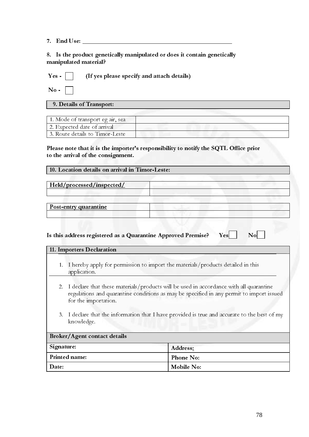7. End Use: \_\_\_\_\_\_\_\_\_\_\_\_\_\_\_\_\_\_\_\_\_\_\_\_\_\_\_\_\_\_\_\_\_\_\_\_\_\_\_\_\_\_\_\_\_\_\_\_

8. Is the product genetically manipulated or does it contain genetically manipulated material?

|  | Yes -     (If yes please specify and attach details) |
|--|------------------------------------------------------|
|--|------------------------------------------------------|

No -

#### 9. Details of Transport:

| 1. Mode of transport eg air, sea |  |
|----------------------------------|--|
| 2. Expected date of arrival      |  |
| 3. Route details to Timor-Leste  |  |

#### Please note that it is the importer's responsibility to notify the SQTL Office prior to the arrival of the consignment.

| 10. Location details on arrival in Timor-Leste: |  |  |  |  |  |  |  |  |
|-------------------------------------------------|--|--|--|--|--|--|--|--|
|-------------------------------------------------|--|--|--|--|--|--|--|--|

Held/processed/inspected/

Post-entry quarantine

#### Is this address registered as a Quarantine Approved Premise?  $Yes$   $\Box$  No

|                                   | 11. Importers Declaration                                                                                   |                                                                                                                                                                                       |
|-----------------------------------|-------------------------------------------------------------------------------------------------------------|---------------------------------------------------------------------------------------------------------------------------------------------------------------------------------------|
| 1.                                | I hereby apply for permission to import the materials/products detailed in this<br>application.             |                                                                                                                                                                                       |
|                                   | for the importation.                                                                                        | 2. I declare that these materials/products will be used in accordance with all quarantine<br>regulations and quarantine conditions as may be specified in any permit to import issued |
|                                   | 3. I declare that the information that I have provided is true and accurate to the best of my<br>knowledge. |                                                                                                                                                                                       |
|                                   | Broker/Agent contact details                                                                                |                                                                                                                                                                                       |
| Signature:<br>Address:            |                                                                                                             |                                                                                                                                                                                       |
| Printed name:<br><b>Phone No:</b> |                                                                                                             |                                                                                                                                                                                       |
| Date:                             | Mobile No:                                                                                                  |                                                                                                                                                                                       |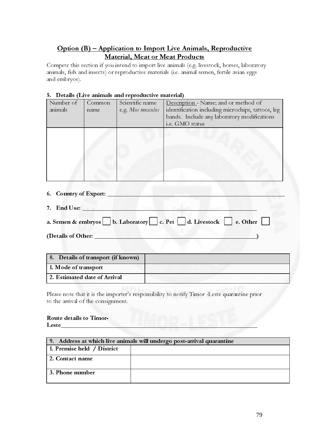#### Option (B) – Application to Import Live Animals, Reproductive Material, Meat or Meat Products

Compete this section if you intend to import live animals (e.g. livestock, horses, laboratory animals, fish and insects) or reproductive materials (i.e. animal semen, fertile avian eggs and embryos).

#### 5. Details (Live animals and reproductive material)

| Number of<br>animals            | Common<br>name | Scientific name<br>e.g. Mus musculus | Description - Name; and or method of<br>identification including microchips, tattoos, leg<br>bands. Include any laboratory modifications<br>i.e. GMO status |
|---------------------------------|----------------|--------------------------------------|-------------------------------------------------------------------------------------------------------------------------------------------------------------|
|                                 |                |                                      |                                                                                                                                                             |
| <b>Country of Export:</b><br>6. |                |                                      |                                                                                                                                                             |

- 7. End Use: \_\_\_\_\_\_\_\_\_\_\_\_\_\_\_\_\_\_\_\_\_\_\_\_\_\_\_\_\_\_\_\_\_\_\_\_\_\_\_\_\_\_\_\_\_\_\_\_\_\_\_\_\_\_\_\_
- a. Semen & embryos b. Laboratory c. Pet d. Livestock e. Other

(Details of Other: \_\_\_\_\_\_\_\_\_\_\_\_\_\_\_\_\_\_\_\_\_\_\_\_\_\_\_\_\_\_\_\_\_\_\_\_\_\_\_\_\_\_\_\_\_\_\_\_\_\_\_\_)

| 8. Details of transport (if known) |  |
|------------------------------------|--|
| 1. Mode of transport               |  |
| 2. Estimated date of Arrival       |  |

Please note that it is the importer's responsibility to notify Timor -Leste quarantine prior to the arrival of the consignment.

#### Route details to Timor- $L$ este $\_\_$

| 9. Address at which live animals will undergo post-arrival quarantine |  |  |
|-----------------------------------------------------------------------|--|--|
| 1. Premise held / District                                            |  |  |
| 2. Contact name                                                       |  |  |
| 3. Phone number                                                       |  |  |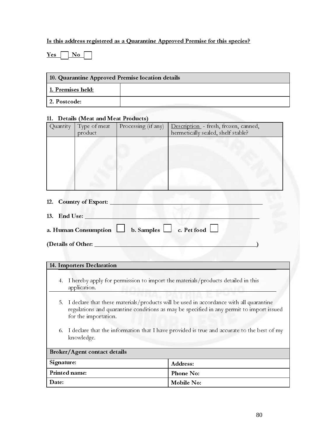#### Is this address registered as a Quarantine Approved Premise for this species?

 $Yes \Box No$ 

| 10. Quarantine Approved Premise location details |  |  |  |  |
|--------------------------------------------------|--|--|--|--|
| 1. Premises held:                                |  |  |  |  |
| 2. Postcode:                                     |  |  |  |  |

#### 11. Details (Meat and Meat Products)

| Quantity    | Type of meat                                                                    | Processing (if any) | Description - fresh, frozen, canned, |
|-------------|---------------------------------------------------------------------------------|---------------------|--------------------------------------|
|             | product                                                                         |                     | hermetically sealed, shelf stable?   |
|             |                                                                                 |                     |                                      |
|             |                                                                                 |                     |                                      |
|             |                                                                                 |                     |                                      |
|             |                                                                                 |                     |                                      |
|             |                                                                                 |                     |                                      |
|             |                                                                                 |                     |                                      |
|             |                                                                                 |                     |                                      |
|             |                                                                                 |                     |                                      |
|             |                                                                                 |                     |                                      |
| $1^{\circ}$ | $\mathcal{C}$ or $\mathcal{C}$ and $\mathcal{C}$ $\mathbf{C}$ and $\mathcal{C}$ |                     |                                      |

- 12. Country of Export:
- 13. End Use: a. Human Consumption  $\Box$  b. Samples  $\Box$  c. Pet food  $\Box$

(Details of Other:

#### 14. Importers Declaration

- 4. I hereby apply for permission to import the materials/products detailed in this application.
- 5. I declare that these materials/products will be used in accordance with all quarantine regulations and quarantine conditions as may be specified in any permit to import issued for the importation.
- 6. I declare that the information that I have provided is true and accurate to the best of my knowledge.

| Broker/Agent contact details |                  |  |  |  |
|------------------------------|------------------|--|--|--|
| Signature:                   | Address:         |  |  |  |
| Printed name:                | <b>Phone No:</b> |  |  |  |
| Date:<br>Mobile No:          |                  |  |  |  |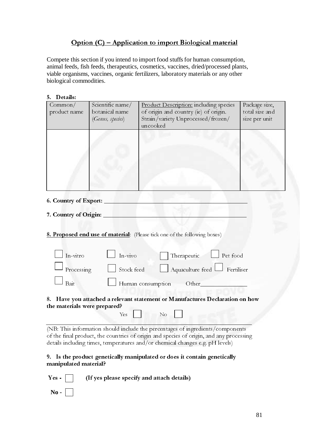### Option (C) – Application to import Biological material

Compete this section if you intend to import food stuffs for human consumption, animal feeds, fish feeds, therapeutics, cosmetics, vaccines, dried/processed plants, viable organisms, vaccines, organic fertilizers, laboratory materials or any other biological commodities.

| Common/<br>product name | Scientific name/<br>botanical name<br>(Genus, species) | Product Description: including species<br>of origin and country (ie) of origin.<br>Strain/variety Unprocessed/frozen/<br>uncooked | Package size,<br>total size and<br>size per unit |
|-------------------------|--------------------------------------------------------|-----------------------------------------------------------------------------------------------------------------------------------|--------------------------------------------------|
|                         |                                                        |                                                                                                                                   |                                                  |

6. Country of Export:

- 7. Country of Origin:
- 8. Proposed end use of material: (Please tick one of the following boxes)

|                 | 8. Proposed end use of material: (Please tick one of the following boxes)<br>In-vitro<br>Processing<br>$\ensuremath{\mathsf{B}}\xspace\ensuremath{\mathsf{a}}\xspace\ensuremath{\mathsf{t}}\xspace$                                                                                                                                                             |                                            | In-vivo<br>Stock feed |                   |          | Therapeutic |       | Aquaculture feed Fertiliser | $\Box$ Pet food |  |
|-----------------|-----------------------------------------------------------------------------------------------------------------------------------------------------------------------------------------------------------------------------------------------------------------------------------------------------------------------------------------------------------------|--------------------------------------------|-----------------------|-------------------|----------|-------------|-------|-----------------------------|-----------------|--|
|                 | 8. Have you attached a relevant statement or Manufactures Declaration on hov<br>the materials were prepared?                                                                                                                                                                                                                                                    |                                            | $\operatorname{Yes}$  | Human consumption | $\rm No$ |             | Other |                             |                 |  |
|                 | (NB: This information should include the percentages of ingredients/components<br>of the final product, the countries of origin and species of origin, and any processing<br>details including times, temperatures and/or chemical changes e.g. pH levels)<br>9. Is the product genetically manipulated or does it contain genetically<br>manipulated material? |                                            |                       |                   |          |             |       |                             |                 |  |
| Yes -<br>$No -$ |                                                                                                                                                                                                                                                                                                                                                                 | (If yes please specify and attach details) |                       |                   |          |             |       |                             |                 |  |
|                 |                                                                                                                                                                                                                                                                                                                                                                 |                                            |                       |                   |          |             |       |                             |                 |  |
|                 |                                                                                                                                                                                                                                                                                                                                                                 |                                            |                       |                   |          |             |       |                             |                 |  |
|                 |                                                                                                                                                                                                                                                                                                                                                                 |                                            |                       |                   |          |             |       |                             |                 |  |
|                 |                                                                                                                                                                                                                                                                                                                                                                 |                                            |                       |                   |          |             |       |                             |                 |  |
|                 |                                                                                                                                                                                                                                                                                                                                                                 |                                            |                       |                   |          |             |       |                             |                 |  |
|                 |                                                                                                                                                                                                                                                                                                                                                                 |                                            |                       |                   |          |             |       |                             |                 |  |
|                 |                                                                                                                                                                                                                                                                                                                                                                 |                                            |                       |                   |          |             |       |                             |                 |  |
|                 |                                                                                                                                                                                                                                                                                                                                                                 |                                            |                       |                   |          |             |       |                             |                 |  |
|                 |                                                                                                                                                                                                                                                                                                                                                                 |                                            |                       |                   |          |             |       |                             |                 |  |
|                 |                                                                                                                                                                                                                                                                                                                                                                 |                                            |                       |                   |          |             |       |                             |                 |  |
|                 |                                                                                                                                                                                                                                                                                                                                                                 |                                            |                       |                   |          |             |       |                             |                 |  |
|                 |                                                                                                                                                                                                                                                                                                                                                                 |                                            |                       |                   |          |             |       |                             |                 |  |
|                 |                                                                                                                                                                                                                                                                                                                                                                 |                                            |                       |                   |          |             |       |                             |                 |  |
|                 |                                                                                                                                                                                                                                                                                                                                                                 |                                            |                       |                   |          |             |       |                             |                 |  |
|                 |                                                                                                                                                                                                                                                                                                                                                                 |                                            |                       |                   |          |             |       |                             |                 |  |
|                 |                                                                                                                                                                                                                                                                                                                                                                 |                                            |                       |                   |          |             |       |                             |                 |  |
|                 |                                                                                                                                                                                                                                                                                                                                                                 |                                            |                       |                   |          |             |       |                             |                 |  |
|                 |                                                                                                                                                                                                                                                                                                                                                                 |                                            |                       |                   |          |             |       |                             |                 |  |
|                 |                                                                                                                                                                                                                                                                                                                                                                 |                                            |                       |                   |          |             |       |                             |                 |  |
|                 |                                                                                                                                                                                                                                                                                                                                                                 |                                            |                       |                   |          |             |       |                             |                 |  |
|                 |                                                                                                                                                                                                                                                                                                                                                                 |                                            |                       |                   |          |             |       |                             |                 |  |
|                 |                                                                                                                                                                                                                                                                                                                                                                 |                                            |                       |                   |          |             |       |                             |                 |  |
|                 |                                                                                                                                                                                                                                                                                                                                                                 |                                            |                       |                   |          |             |       |                             |                 |  |
|                 |                                                                                                                                                                                                                                                                                                                                                                 |                                            |                       |                   |          |             |       |                             |                 |  |
|                 |                                                                                                                                                                                                                                                                                                                                                                 |                                            |                       |                   |          |             |       |                             |                 |  |
|                 |                                                                                                                                                                                                                                                                                                                                                                 |                                            |                       |                   |          |             |       |                             |                 |  |
|                 |                                                                                                                                                                                                                                                                                                                                                                 |                                            |                       |                   |          |             |       |                             |                 |  |
|                 |                                                                                                                                                                                                                                                                                                                                                                 |                                            |                       |                   |          |             |       |                             |                 |  |
|                 |                                                                                                                                                                                                                                                                                                                                                                 |                                            |                       |                   |          |             |       |                             |                 |  |
|                 |                                                                                                                                                                                                                                                                                                                                                                 |                                            |                       |                   |          |             |       |                             |                 |  |

#### 8. Have you attached a relevant statement or Manufactures Declaration on how the materials were prepared?

include the percent<br>tries of origin and stratures and/or chem<br>ly manipulated or<br>expecify and attack (NB: This information should include the percentages of ingredients/components of the final product, the countries of origin and species of origin, and any processing details including times, temperatures and/or chemical changes e.g. pH levels)

#### 9. Is the product genetically manipulated or does it contain genetically manipulated material?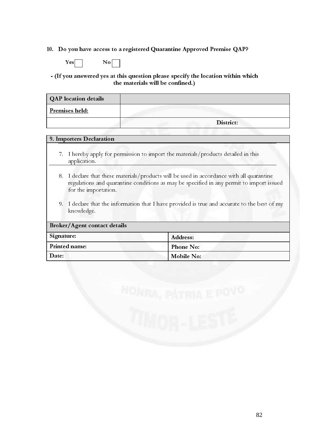#### 10. Do you have access to a registered Quarantine Approved Premise QAP?



#### - (If you answered yes at this question please specify the location within which the materials will be confined.)

| <b>QAP</b> location details |           |
|-----------------------------|-----------|
| Premises held:              |           |
|                             | District: |

#### 9. Importers Declaration

- 7. I hereby apply for permission to import the materials/products detailed in this application.
- 8. I declare that these materials/products will be used in accordance with all quarantine regulations and quarantine conditions as may be specified in any permit to import issued for the importation.
- 9. I declare that the information that I have provided is true and accurate to the best of my knowledge.

| Broker/Agent contact details |                  |  |  |  |
|------------------------------|------------------|--|--|--|
| Signature:                   | Address:         |  |  |  |
| Printed name:                | <b>Phone No:</b> |  |  |  |
| Date:                        | Mobile No:       |  |  |  |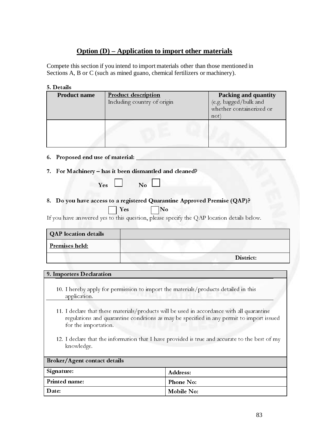#### **Option (D) – Application to import other materials**

Compete this section if you intend to import materials other than those mentioned in Sections A, B or C (such as mined guano, chemical fertilizers or machinery).

#### 5. Details

| <b>Product name</b>              | <b>Product description</b><br>Including country of origin                                 | <b>Packing and quantity</b><br>(e.g. bagged/bulk and<br>whether containerized or<br>not) |
|----------------------------------|-------------------------------------------------------------------------------------------|------------------------------------------------------------------------------------------|
|                                  |                                                                                           |                                                                                          |
| 6. Proposed end use of material: |                                                                                           |                                                                                          |
|                                  | 7. For Machinery - has it been dismantled and cleaned?                                    |                                                                                          |
|                                  | $\mathbf{N}\mathbf{o}$<br>Yes                                                             |                                                                                          |
|                                  | 8. Do you have access to a registered Quarantine Approved Premise (QAP)?<br>No<br>Yes     |                                                                                          |
|                                  | If you have answered yes to this question, please specify the QAP location details below. |                                                                                          |
| <b>QAP</b> location details      |                                                                                           |                                                                                          |
|                                  |                                                                                           |                                                                                          |
| Premises held:                   |                                                                                           |                                                                                          |

#### 9. Importers Declaration

- 10. I hereby apply for permission to import the materials/products detailed in this application.
- 11. I declare that these materials/products will be used in accordance with all quarantine regulations and quarantine conditions as may be specified in any permit to import issued for the importation.
- 12. I declare that the information that I have provided is true and accurate to the best of my knowledge.

| <b>Broker/Agent contact details</b> |                  |  |  |  |
|-------------------------------------|------------------|--|--|--|
| Signature:                          | <b>Address:</b>  |  |  |  |
| <b>Printed name:</b>                | <b>Phone No:</b> |  |  |  |
| Date:                               | Mobile No:       |  |  |  |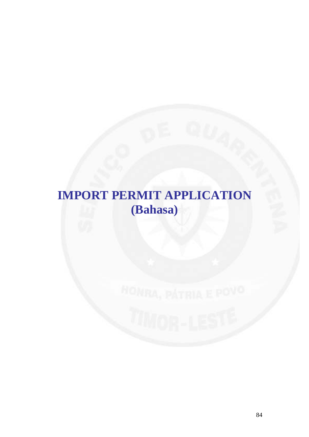## **IMPORT PERMIT APPLICATION (Bahasa)**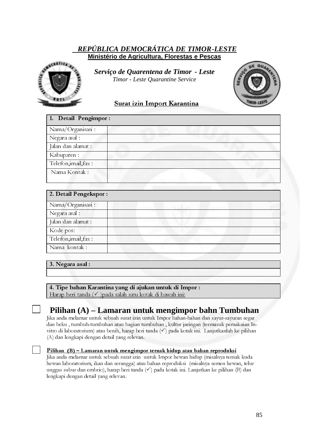#### *REPÚBLICA DEMOCRÁTICA DE TIMOR-LESTE* **Ministério de Agricultura, Florestas e Pescas**



*S Serviço de Quarentena de Timor - Leste Timor - Leste Quarantine Service* 

### Surat izin Import Karantina

| 1. Detail Pengimpor: |  |
|----------------------|--|
| Nama/Organisasi:     |  |
| Negara asal :        |  |
| Jalan dan alamat :   |  |
| Kabupaten :          |  |
| Telefon, imail, fax: |  |
| Nama Kontak:         |  |

| 2. Detail Pengekspor: |  |
|-----------------------|--|
| Nama/Organisasi:      |  |
| Negara asal :         |  |
| Jalan dan alamat :    |  |
| Kode pos:             |  |
| Telefon, imail, fax:  |  |
| Nama kontak:          |  |

#### 3. Negara asal :

4. Tipe bahan Karantina yang di ajukan untuk di Impor :

Harap beri tanda  $(\checkmark)$ pada salah satu kotak di bawah ini:

#### **Pilihan (A) – Lamaran untuk mengimpor bahn Tumbuhan**

Jika anda melamar untuk sebuah surat izin untuk Impor bahan-bahan dan sayur-sayuran segar dan beku , tumbuh-tumbuhan atau bagian tumbuhan , kultur jaringan (termasuk pemakaian Invitro di laboratorium) atau benih, harap beri tanda  $(\checkmark)$  pada kotak ini. Lanjutkanlah ke pilihan (A) dan lengkapi dengan detail yang relevan.

**Pilihan (B) – Lamaran untuk mengimpor ternak hidup atau bahan reproduksi**<br>Jika anda melamar untuk sebuah surat izin untuk Impor hewan hidup (misalnya ternak kuda hewan laboratorium, ikan dan serangga) atau bahan reproduksi (misalnya semen hewan, telur unggas subur dan embrio), harap beri tanda  $(\checkmark)$  pada kotak ini. Lanjutkan ke pilihan (B) dan lengkapi dengan detail yang relevan.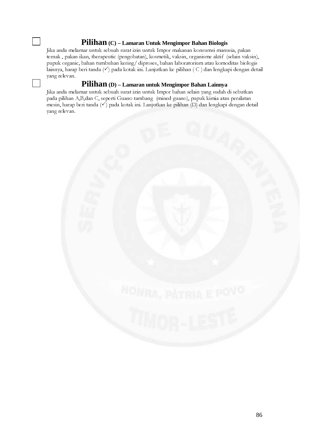#### **Pilihan (C) – Lamaran Untuk Mengimpor Bahan Biologis**

Jika anda melamar untuk sebuah surat izin untuk Impor makanan konsumsi manusia, pakan ternak , pakan ikan, therapeutic (pengobatan), kosmetik, vaksin, organisme aktif (selain vaksin), pupuk organic, bahan tumbuhan kering/ diproses, bahan laboratorium atau komoditas biologis lainnya, harap beri tanda (V) pada kotak ini. Lanjutkan ke pilihan (C) dan lengkapi dengan detail yang relevan.

### **Pilihan (D) – Lamaran untuk Mengimpor Bahan Lainnya**

Jika anda melamar untuk sebuah surat izin untuk Impor bahan selain yang sudah di sebutkan pada pilihan A,B,dan C, seperti Guano tambang (mined guano), pupuk kimia atau peralatan mesin, harap beri tanda  $(\checkmark)$  pada kotak ini. Lanjutkan ke pilihan  $(D)$  dan lengkapi dengan detail yang relevan.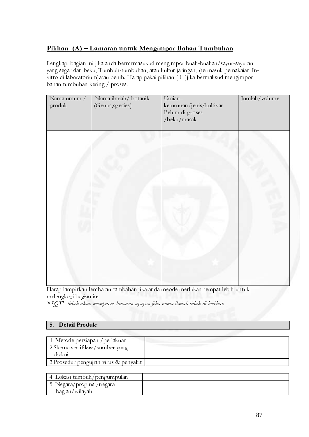### Pilihan (A) – Lamaran untuk Mengimpor Bahan Tumbuhan

Lengkapi bagian ini jika anda bermrmasukud mengimpor buah-buahan/sayur-sayuran yang segar dan beku, Tumbuh-tumbuhan, atau kultur jaringan, (termasuk pemakaian Invitro di laboratorium)atau benih. Harap pakai pilihan ( C )jika bermaksud mengimpor bahan tumbuhan kering / proses.

| Nama umum /<br>produk | Nama ilmiah/ botanik<br>(Genus, species) | Uraian-<br>keturunan/jenis/kultivar<br>Belum di proses<br>/beku/masak | Jumlah/volume |
|-----------------------|------------------------------------------|-----------------------------------------------------------------------|---------------|
|                       |                                          |                                                                       |               |

Harap lampirkan lembaran tambahan jika anda meode merlukan tempat lebih untuk melengkapi bagian ini

\* SQTL tidak akan memproses lamaran apapun jika nama ilmiah tidak di berikan

#### 5. Detail Produk:

| 1. Metode persiapan / perlakuan        |  |
|----------------------------------------|--|
| 2. Skema sertifikasi/sumber yang       |  |
| diakui                                 |  |
| 3. Prosedur pengujian virus & penyakit |  |

| 4. Lokasi tumbuh/pengumpulan |  |
|------------------------------|--|
| 5. Negara/propinsi/negara    |  |
| bagian/wilayah               |  |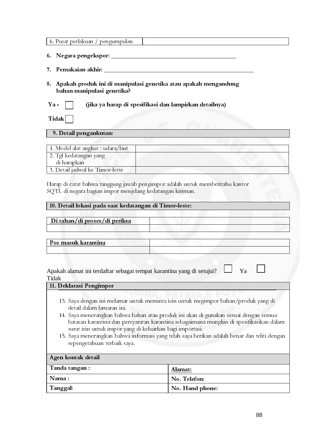| 6. Pusat perlakuan / pengumpulan                                                                                                                                                                     |
|------------------------------------------------------------------------------------------------------------------------------------------------------------------------------------------------------|
| 6.                                                                                                                                                                                                   |
| 7.                                                                                                                                                                                                   |
| 8. Apakah produk ini di manipulasi genetika atau apakah mengandung<br>bahan manipulasi genetika?                                                                                                     |
| (jika ya harap di spesifikasi dan lampirkan detailnya)<br>$\mathbf{Ya}$ -                                                                                                                            |
| Tidak                                                                                                                                                                                                |
| 9. Detail pengankutan:                                                                                                                                                                               |
|                                                                                                                                                                                                      |
| 1. Model alat angkut : udara/laut                                                                                                                                                                    |
| 2. Tgl kedatangan yang                                                                                                                                                                               |
| di harapkan                                                                                                                                                                                          |
| 3. Detail jadwal ke Timor-leste                                                                                                                                                                      |
| Harap di catat bahwa tanggung jawab pengimpor adalah untuk memberitahu kantor<br>SQTL di negara bagian impor menjelang kedatangan kiriman.<br>10. Detail lokasi pada saat kedatangan di Timor-leste: |

| Di tahan/di proses/di periksa                                                                                                                                                                                                                                                                                                                                                                                                                                                                |
|----------------------------------------------------------------------------------------------------------------------------------------------------------------------------------------------------------------------------------------------------------------------------------------------------------------------------------------------------------------------------------------------------------------------------------------------------------------------------------------------|
| Pos masuk karantina                                                                                                                                                                                                                                                                                                                                                                                                                                                                          |
| Apakah alamat ini terdaftar sebagai tempat karantina yang di setujui?<br>Ya<br>Tidak                                                                                                                                                                                                                                                                                                                                                                                                         |
| 11. Deklarasi Pengimpor                                                                                                                                                                                                                                                                                                                                                                                                                                                                      |
| 13. Saya dengan ini melamar untuk meminta izin untuk megimpor bahan/produk yang di<br>detail dalam lamaran ini.<br>14. Saya menerangkan bahwa bahan atau produk ini akan di gunakan sesuai dengan semua<br>batasan karantina dan persyaratan karantina sebagaimana mungkin di spesifikasikan dalam<br>surat izin untuk impor yang di keluarkan bagi importasi.<br>15. Saya menerangkan bahwa informasi yang telah saya berikan adalah benar dan teliti dengan<br>sepengetahuan terbaik saya. |
| Agen kontak detail                                                                                                                                                                                                                                                                                                                                                                                                                                                                           |

| $\overline{\phantom{a}}$ Tanda tangan : | Alamat:         |
|-----------------------------------------|-----------------|
| Nama:                                   | No. Telefon:    |
| Tanggal:                                | No. Hand phone: |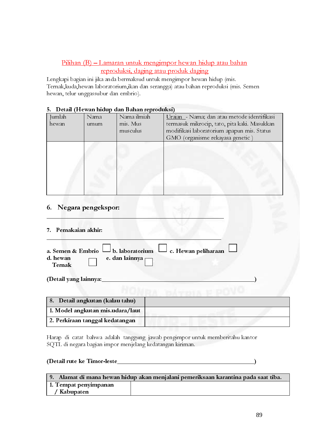#### Pilihan (B) – Lamaran untuk mengimpor hewan hidup atau bahan reproduksi, daging atau produk daging

| hewan, telur unggassubur dan embrio).<br>Detail (Hewan hidup dan Bahan reproduksi)<br>5.<br>Nama<br>Jumlah<br>hewan<br>umum |                                 | Nama ilmiah<br>mis. Mus                                   | Uraian - Nama; dan atau metode identifikasi<br>termasuk mikrocip, tato, pita kaki. Masukkan                                       |  |
|-----------------------------------------------------------------------------------------------------------------------------|---------------------------------|-----------------------------------------------------------|-----------------------------------------------------------------------------------------------------------------------------------|--|
|                                                                                                                             |                                 | musculus                                                  | modifikasi laboratorium apapun mis. Status<br>GMO (organisme rekayasa genetic)                                                    |  |
|                                                                                                                             |                                 |                                                           |                                                                                                                                   |  |
| 6.<br>Pemakaian akhir:                                                                                                      | Negara pengekspor:              |                                                           |                                                                                                                                   |  |
| a. Semen & Embrio<br>d. hewan<br>Ternak                                                                                     |                                 | b. laboratorium<br>e. dan lainnya p                       | c. Hewan peliharaan                                                                                                               |  |
| (Detail yang lainnya:                                                                                                       | 8. Detail angkutan (kalau tahu) |                                                           |                                                                                                                                   |  |
|                                                                                                                             | 2. Perkiraan tanggal kedatangan | 1. Model angkutan mis.udara/laut                          |                                                                                                                                   |  |
|                                                                                                                             | (Detail rute ke Timor-leste     | SQTL di negara bagian impor menjelang kedatangan kiriman. | Harap di catat bahwa adalah tanggung jawab pengimpor untuk memberitahu kantor<br><u> 1980 - Johann Barbara, martxa amerikan p</u> |  |
| / Kabupaten                                                                                                                 | 1. Tempat penyimpanan           |                                                           | 9. Alamat di mana hewan hidup akan menjalani pemeriksaan karantina pada saat tiba.                                                |  |
|                                                                                                                             |                                 |                                                           | 89                                                                                                                                |  |
|                                                                                                                             |                                 |                                                           |                                                                                                                                   |  |
|                                                                                                                             |                                 |                                                           |                                                                                                                                   |  |
|                                                                                                                             |                                 |                                                           |                                                                                                                                   |  |
|                                                                                                                             |                                 |                                                           |                                                                                                                                   |  |
|                                                                                                                             |                                 |                                                           |                                                                                                                                   |  |
|                                                                                                                             |                                 |                                                           |                                                                                                                                   |  |
|                                                                                                                             |                                 |                                                           |                                                                                                                                   |  |
|                                                                                                                             |                                 |                                                           |                                                                                                                                   |  |
|                                                                                                                             |                                 |                                                           |                                                                                                                                   |  |
|                                                                                                                             |                                 |                                                           |                                                                                                                                   |  |
|                                                                                                                             |                                 |                                                           |                                                                                                                                   |  |
|                                                                                                                             |                                 |                                                           |                                                                                                                                   |  |
|                                                                                                                             |                                 |                                                           |                                                                                                                                   |  |
|                                                                                                                             |                                 |                                                           |                                                                                                                                   |  |
|                                                                                                                             |                                 |                                                           |                                                                                                                                   |  |
|                                                                                                                             |                                 |                                                           |                                                                                                                                   |  |
|                                                                                                                             |                                 |                                                           |                                                                                                                                   |  |
|                                                                                                                             |                                 |                                                           |                                                                                                                                   |  |
|                                                                                                                             |                                 |                                                           |                                                                                                                                   |  |
|                                                                                                                             |                                 |                                                           |                                                                                                                                   |  |
|                                                                                                                             |                                 |                                                           |                                                                                                                                   |  |
|                                                                                                                             |                                 |                                                           |                                                                                                                                   |  |
|                                                                                                                             |                                 |                                                           |                                                                                                                                   |  |
|                                                                                                                             |                                 |                                                           |                                                                                                                                   |  |
|                                                                                                                             |                                 |                                                           |                                                                                                                                   |  |
|                                                                                                                             |                                 |                                                           |                                                                                                                                   |  |
|                                                                                                                             |                                 |                                                           |                                                                                                                                   |  |
|                                                                                                                             |                                 |                                                           |                                                                                                                                   |  |
|                                                                                                                             |                                 |                                                           |                                                                                                                                   |  |
|                                                                                                                             |                                 |                                                           |                                                                                                                                   |  |
|                                                                                                                             |                                 |                                                           |                                                                                                                                   |  |
|                                                                                                                             |                                 |                                                           |                                                                                                                                   |  |
|                                                                                                                             |                                 |                                                           |                                                                                                                                   |  |
|                                                                                                                             |                                 |                                                           |                                                                                                                                   |  |
|                                                                                                                             |                                 |                                                           |                                                                                                                                   |  |
|                                                                                                                             |                                 |                                                           |                                                                                                                                   |  |
|                                                                                                                             |                                 |                                                           |                                                                                                                                   |  |
|                                                                                                                             |                                 |                                                           |                                                                                                                                   |  |
|                                                                                                                             |                                 |                                                           |                                                                                                                                   |  |
|                                                                                                                             |                                 |                                                           |                                                                                                                                   |  |
|                                                                                                                             |                                 |                                                           |                                                                                                                                   |  |
|                                                                                                                             |                                 |                                                           |                                                                                                                                   |  |
|                                                                                                                             |                                 |                                                           |                                                                                                                                   |  |
|                                                                                                                             |                                 |                                                           |                                                                                                                                   |  |

#### 5. Detail (Hewan hidup dan Bahan reproduksi)

#### 6. Negara pengekspor:  $\sim$  ,  $\sim$  ,  $\sim$  ,  $\sim$  ,  $\sim$  ,  $\sim$  ,  $\sim$  ,  $\sim$  ,  $\sim$  ,  $\sim$  ,  $\sim$  ,  $\sim$

#### 7. Pemakaian akhir:

|                    |                       | a. Semen & Embrio $\Box$ b. laboratorium $\Box$ c. Hewan peliharaan |  |
|--------------------|-----------------------|---------------------------------------------------------------------|--|
| d. hewan<br>Ternak | e. dan lainnya $\Box$ |                                                                     |  |

| 8. Detail angkutan (kalau tahu)  |  |
|----------------------------------|--|
| 1. Model angkutan mis.udara/laut |  |
| 2. Perkiraan tanggal kedatangan  |  |

#### (Detail rute ke Timor-leste\_\_\_\_\_\_\_\_\_\_\_\_\_\_\_\_\_\_\_\_\_\_\_\_\_\_\_\_\_\_\_\_\_\_\_\_\_\_\_\_\_\_\_\_)

| 9. Alamat di mana hewan hidup akan menjalani pemeriksaan karantina pada saat tiba. |  |  |  |
|------------------------------------------------------------------------------------|--|--|--|
| 1. Tempat penyimpanan                                                              |  |  |  |
| ' Kabupaten                                                                        |  |  |  |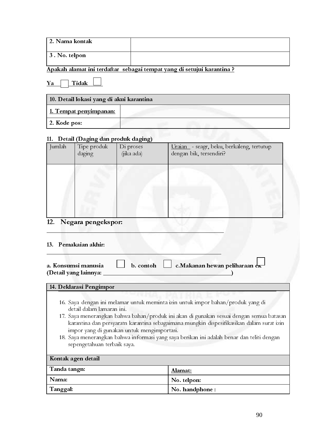| 2. Nama kontak   |  |
|------------------|--|
| $ 3.$ No. telpon |  |

### Apakah alamat ini terdaftar sebagai tempat yang di setujui karantina ?

 $\boxed{\text{Ya}$  Tidak  $\boxed{\phantom{1}}$ 

| 10. Detail lokasi yang di akui karantina |  |  |
|------------------------------------------|--|--|
| <u>1. Tempat penyimpanan:</u>            |  |  |
| $2.$ Kode pos:                           |  |  |

#### 11. Detail (Daging dan produk daging)

| Jumlah | $\circ$ $\circ$<br>Tipe produk<br>daging | $\sigma$ $\sigma$<br>Di proses<br>(jika ada) | Uraian - seagr, beku, berkaleng, tertutup<br>dengan bik, tersendiri? |
|--------|------------------------------------------|----------------------------------------------|----------------------------------------------------------------------|
|        |                                          |                                              |                                                                      |
|        |                                          |                                              |                                                                      |
|        |                                          |                                              |                                                                      |

#### 12. Negara pengekspor:

#### 13. Pemakaian akhir:

| b. contoh $\Box$ c. Makanan hewan peliharaan $ek$<br>a. Konsumsi manusia<br>(Detail yang lainnya:                                                                                         |                                                                                                                                                                                                                                                                                  |  |
|-------------------------------------------------------------------------------------------------------------------------------------------------------------------------------------------|----------------------------------------------------------------------------------------------------------------------------------------------------------------------------------------------------------------------------------------------------------------------------------|--|
| 14. Deklarasi Pengimpor                                                                                                                                                                   |                                                                                                                                                                                                                                                                                  |  |
|                                                                                                                                                                                           |                                                                                                                                                                                                                                                                                  |  |
| 16. Saya dengan ini melamar untuk meminta izin untuk impor bahan/produk yang di<br>detail dalam lamaran ini.<br>impor yang di gunakan untuk mengimportasi.<br>sepengetahuan terbaik saya. | 17. Saya menerangkan bahwa bahan/produk ini akan di gunakan sesuai dengan semua batasan<br>karantina dan persyaratn karantina sebagaimana mungkin dispesifikasikan dalam surat izin<br>18. Saya menerangkan bahwa informasi yang saya berikan ini adalah benar dan teliti dengan |  |
| Kontak agen detail                                                                                                                                                                        |                                                                                                                                                                                                                                                                                  |  |
| Tanda tangn:                                                                                                                                                                              | <u>Alamat:</u>                                                                                                                                                                                                                                                                   |  |
| Nama:                                                                                                                                                                                     | No. telpon:                                                                                                                                                                                                                                                                      |  |
| Tanggal:<br>No. handphone:                                                                                                                                                                |                                                                                                                                                                                                                                                                                  |  |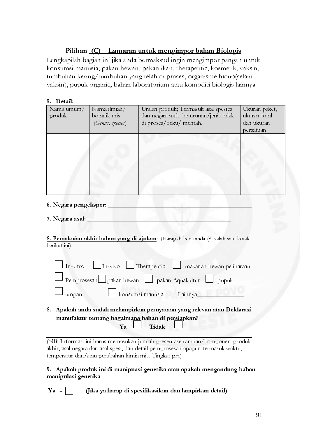#### Pilihan (C) – Lamaran untuk mengimpor bahan Biologis

Lengkapilah bagian ini jika anda bermaksud ingin mengimpor pangan untuk konsumsi manusia, pakan hewan, pakan ikan, therapeutic, kosmetik, vaksin, tumbuhan kering/tumbuhan yang telah di proses, organisme hidup(selain vaksin), pupuk organic, bahan laboratorium atau komoditi biologis lainnya.

| 5. Detail:<br>$\overline{\text{N}}$ ama umum/<br>produk | Nama ilmiah/<br>botanik mis.<br>(Genus, species) | Uraian produk; Termasuk asal spesies<br>dan negara asal. keturunan/jenis tidak<br>di proses/beku/ mentah.                                                                                                                     | Ukuran paket,<br>ukuran total<br>dan ukuran<br>persatuan |
|---------------------------------------------------------|--------------------------------------------------|-------------------------------------------------------------------------------------------------------------------------------------------------------------------------------------------------------------------------------|----------------------------------------------------------|
|                                                         |                                                  |                                                                                                                                                                                                                               |                                                          |
|                                                         |                                                  |                                                                                                                                                                                                                               |                                                          |
| 6. Negara pengekspor:<br>7. Negara asal:                |                                                  | 8. Pemakaian akhir bahan yang di ajukan: (Harap di beri tanda (v salah satu kotak                                                                                                                                             |                                                          |
| berikut ini)<br>In-vitro                                |                                                  | In-vivo Therapeutic I makanan hewan peliharaan                                                                                                                                                                                |                                                          |
| umpan                                                   |                                                  | Pemprosesan pakan hewan pakan Aquakultur pupuk<br>konsumsi manusia Lainnya<br>8. Apakah anda sudah melampirkan pernyataan yang relevan atau Deklarasi                                                                         |                                                          |
|                                                         | Ya                                               | manufaktur tentang bagaimana bahan di persiapkan?<br>Tidak<br>(NB: Informasi ini harus memasukan jumlah presentase ramuan/komponen produk<br>akhir, asal negara dan asal spesi, dan detail pemprosesan apapun termasuk waktu, |                                                          |
| manipulasi genetika                                     |                                                  | temperatur dan/atau perubahan kimia mis. Tingkat pH)<br>9. Apakah produk ini di manipuasi genetika atau apakah mengandung bahan                                                                                               |                                                          |
| Ya                                                      |                                                  | (Jika ya harap di spesifikasikan dan lampirkan detail)                                                                                                                                                                        | 91                                                       |
|                                                         |                                                  |                                                                                                                                                                                                                               |                                                          |
|                                                         |                                                  |                                                                                                                                                                                                                               |                                                          |
|                                                         |                                                  |                                                                                                                                                                                                                               |                                                          |
|                                                         |                                                  |                                                                                                                                                                                                                               |                                                          |
|                                                         |                                                  |                                                                                                                                                                                                                               |                                                          |
|                                                         |                                                  |                                                                                                                                                                                                                               |                                                          |
|                                                         |                                                  |                                                                                                                                                                                                                               |                                                          |
|                                                         |                                                  |                                                                                                                                                                                                                               |                                                          |
|                                                         |                                                  |                                                                                                                                                                                                                               |                                                          |
|                                                         |                                                  |                                                                                                                                                                                                                               |                                                          |
|                                                         |                                                  |                                                                                                                                                                                                                               |                                                          |
|                                                         |                                                  |                                                                                                                                                                                                                               |                                                          |
|                                                         |                                                  |                                                                                                                                                                                                                               |                                                          |
|                                                         |                                                  |                                                                                                                                                                                                                               |                                                          |
|                                                         |                                                  |                                                                                                                                                                                                                               |                                                          |
|                                                         |                                                  |                                                                                                                                                                                                                               |                                                          |
|                                                         |                                                  |                                                                                                                                                                                                                               |                                                          |
|                                                         |                                                  |                                                                                                                                                                                                                               |                                                          |
|                                                         |                                                  |                                                                                                                                                                                                                               |                                                          |
|                                                         |                                                  |                                                                                                                                                                                                                               |                                                          |
|                                                         |                                                  |                                                                                                                                                                                                                               |                                                          |
|                                                         |                                                  |                                                                                                                                                                                                                               |                                                          |
|                                                         |                                                  |                                                                                                                                                                                                                               |                                                          |
|                                                         |                                                  |                                                                                                                                                                                                                               |                                                          |
|                                                         |                                                  |                                                                                                                                                                                                                               |                                                          |
|                                                         |                                                  |                                                                                                                                                                                                                               |                                                          |
|                                                         |                                                  |                                                                                                                                                                                                                               |                                                          |
|                                                         |                                                  |                                                                                                                                                                                                                               |                                                          |
|                                                         |                                                  |                                                                                                                                                                                                                               |                                                          |
|                                                         |                                                  |                                                                                                                                                                                                                               |                                                          |
|                                                         |                                                  |                                                                                                                                                                                                                               |                                                          |
|                                                         |                                                  |                                                                                                                                                                                                                               |                                                          |
|                                                         |                                                  |                                                                                                                                                                                                                               |                                                          |
|                                                         |                                                  |                                                                                                                                                                                                                               |                                                          |
|                                                         |                                                  |                                                                                                                                                                                                                               |                                                          |
|                                                         |                                                  |                                                                                                                                                                                                                               |                                                          |
|                                                         |                                                  |                                                                                                                                                                                                                               |                                                          |
|                                                         |                                                  |                                                                                                                                                                                                                               |                                                          |
|                                                         |                                                  |                                                                                                                                                                                                                               |                                                          |
|                                                         |                                                  |                                                                                                                                                                                                                               |                                                          |
|                                                         |                                                  |                                                                                                                                                                                                                               |                                                          |

- 6. Negara pengekspor:
- 7. Negara asal:

| In-vitro           | Therapeutic<br>$\ln$ -vivo<br>makanan hewan peliharaan                                                                                                                                                             |
|--------------------|--------------------------------------------------------------------------------------------------------------------------------------------------------------------------------------------------------------------|
| Pemprosesan        | $\int$ pakan hewan<br>pakan Aquakultur<br>pupuk                                                                                                                                                                    |
| umpan              | konsumsi manusia<br>Lainnya                                                                                                                                                                                        |
|                    | Apakah anda sudah melampirkan pernyataan yang relevan atau Deklarasi<br>manufaktur tentang bagaimana bahan di persiapkan?<br>Tidak<br>Ya                                                                           |
|                    | IB: Informasi ini harus memasukan jumlah presentase ramuan/komponen produk<br>hir, asal negara dan asal spesi, dan detail pemprosesan apapun termasuk waktu,<br>nperatur dan/atau perubahan kimia mis. Tingkat pH) |
| anipulasi genetika | Apakah produk ini di manipuasi genetika atau apakah mengandung baha                                                                                                                                                |
|                    |                                                                                                                                                                                                                    |
|                    | (Jika ya harap di spesifikasikan dan lampirkan detail)                                                                                                                                                             |
|                    |                                                                                                                                                                                                                    |
|                    |                                                                                                                                                                                                                    |
|                    |                                                                                                                                                                                                                    |
|                    |                                                                                                                                                                                                                    |
|                    |                                                                                                                                                                                                                    |

#### 9. Apakah produk ini di manipuasi genetika atau apakah mengandung bahan manipulasi genetika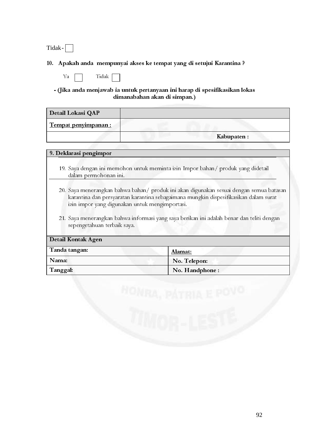Tidak-

#### 10. Apakah anda mempunyai akses ke tempat yang di setujui Karantina ?

|  | Tidak |  |
|--|-------|--|
|  |       |  |

- (Jika anda menjawab ia untuk pertanyaan ini harap di spesifikasikan lokas dimanabahan akan di simpan.)

| Detail Lokasi QAP    |            |
|----------------------|------------|
| Tempat penyimpanan : |            |
|                      | Kabupaten: |

#### 9. Deklarasi pengimpor

- 19. Saya dengan ini memohon untuk meminta izin Impor bahan/ produk yang didetail dalam permohonan ini.
- 20. Saya menerangkan bahwa bahan/ produk ini akan digunakan sesuai dengan semua batasan karantina dan persyaratan karantina sebagaimana mungkin dispesifikasikan dalam surat izin impor yang digunakan untuk mengimportasi.
- 21. Saya menerangkan bahwa informasi yang saya berikan ini adalah benar dan teliti dengan sepengetahuan terbaik saya.

| Detail Kontak Agen |                |
|--------------------|----------------|
| Tanda tangan:      | <u>Alamat:</u> |
| Nama:              | No. Telepon:   |
| Tanggal:           | No. Handphone: |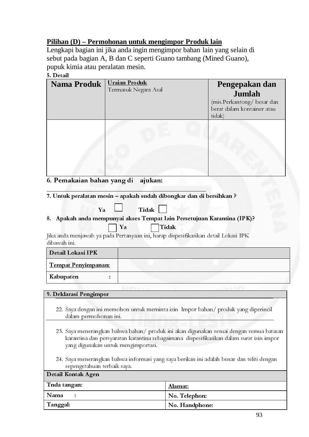#### **Pilihan (D) – Permohonan untuk mengimpor Produk lain**

Lengkapi bagian ini jika anda ingin mengimpor bahan lain yang selain di sebut pada bagian A, B dan C seperti Guano tambang (Mined Guano), pupuk kimia atau peralatan mesin.

#### 5. Detail

| <b>Nama Produk</b> | <b>Uraian Produk</b><br>Termasuk Negara Asal | Pengepakan dan<br>Jumlah<br>(mis.Perkantong/besar dan<br>berat dalam kontainer atau<br>tidak) |
|--------------------|----------------------------------------------|-----------------------------------------------------------------------------------------------|
|                    |                                              |                                                                                               |

#### 6. Pemakaian bahan yang di ajukan:

7. Untuk peralatan mesin – apakah sudah dibongkar dan di bersihkan ?

| Tidak<br>Ya                                                                                                                                                                                                               |               |  |
|---------------------------------------------------------------------------------------------------------------------------------------------------------------------------------------------------------------------------|---------------|--|
| 8. Apakah anda mempunyai akses Tempat Izin Persetujuan Karantina (IPK)?                                                                                                                                                   |               |  |
| Tidak<br>Ya                                                                                                                                                                                                               |               |  |
| Jika anda menjawab ya pada Pertanyaan ini, harap dispesifikasikan detail Lokasi IPK                                                                                                                                       |               |  |
| dibawah ini.                                                                                                                                                                                                              |               |  |
| Detail Lokasi IPK                                                                                                                                                                                                         |               |  |
| Tempat Penyimpanan:                                                                                                                                                                                                       |               |  |
| Kabupaten                                                                                                                                                                                                                 |               |  |
|                                                                                                                                                                                                                           |               |  |
| 9. Deklarasi Pengimpor                                                                                                                                                                                                    |               |  |
| 22. Saya dengan ini memohon untuk meminta izin Impor bahan/ produk yang diperincil<br>dalam permohonan ini.                                                                                                               |               |  |
| 23. Saya menerangkan bahwa bahan/ produk ini akan digunakan sesuai dengan semua batasan<br>karantina dan persyaratan karantina sebagaimana dispesifikasikan dalam surat izin impor<br>yang digunakan untuk mengimportasi. |               |  |
| 24. Saya menerangkan bahwa informasi yang saya berikan ini adalah benar dan teliti dengan<br>sepengetahuan terbaik saya.                                                                                                  |               |  |
| Detail Kontak Agen                                                                                                                                                                                                        |               |  |
| Tnda tangan:                                                                                                                                                                                                              | Alamat:       |  |
| Nama                                                                                                                                                                                                                      | No. Telephon: |  |
| Tanggal:<br>No. Handphone:                                                                                                                                                                                                |               |  |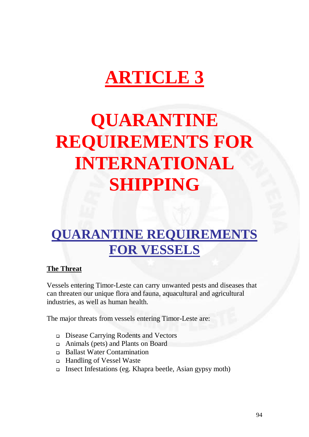# **ARTICLE 3**

# **QUARANTINE REQUIREMENTS FOR INTERNATIONAL SHIPPING**

## **QUARANTINE REQUIREMENTS FOR VESSELS**

#### **The Threat**

Vessels entering Timor-Leste can carry unwanted pests and diseases that can threaten our unique flora and fauna, aquacultural and agricultural industries, as well as human health.

The major threats from vessels entering Timor-Leste are:

- Disease Carrying Rodents and Vectors
- Animals (pets) and Plants on Board
- Ballast Water Contamination
- □ Handling of Vessel Waste
- □ Insect Infestations (eg. Khapra beetle, Asian gypsy moth)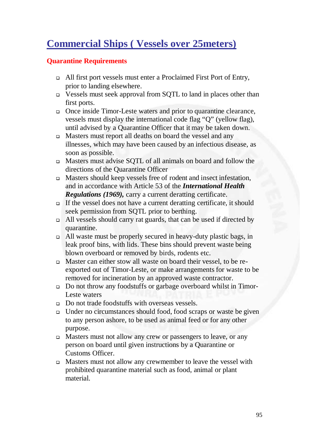### **Commercial Ships ( Vessels over 25meters)**

#### **Quarantine Requirements**

- All first port vessels must enter a Proclaimed First Port of Entry, prior to landing elsewhere.
- Vessels must seek approval from SQTL to land in places other than first ports.
- Once inside Timor-Leste waters and prior to quarantine clearance, vessels must display the international code flag "Q" (yellow flag), until advised by a Quarantine Officer that it may be taken down.
- Masters must report all deaths on board the vessel and any illnesses, which may have been caused by an infectious disease, as soon as possible.
- Masters must advise SQTL of all animals on board and follow the directions of the Quarantine Officer
- Masters should keep vessels free of rodent and insect infestation, and in accordance with Article 53 of the *International Health Regulations (1969),* carry a current deratting certificate.
- If the vessel does not have a current deratting certificate, it should seek permission from SQTL prior to berthing.
- All vessels should carry rat guards, that can be used if directed by quarantine.
- All waste must be properly secured in heavy-duty plastic bags, in leak proof bins, with lids. These bins should prevent waste being blown overboard or removed by birds, rodents etc.
- Master can either stow all waste on board their vessel, to be reexported out of Timor-Leste, or make arrangements for waste to be removed for incineration by an approved waste contractor.
- Do not throw any foodstuffs or garbage overboard whilst in Timor-Leste waters
- Do not trade foodstuffs with overseas vessels.
- Under no circumstances should food, food scraps or waste be given to any person ashore, to be used as animal feed or for any other purpose.
- Masters must not allow any crew or passengers to leave, or any person on board until given instructions by a Quarantine or Customs Officer.
- Masters must not allow any crewmember to leave the vessel with prohibited quarantine material such as food, animal or plant material.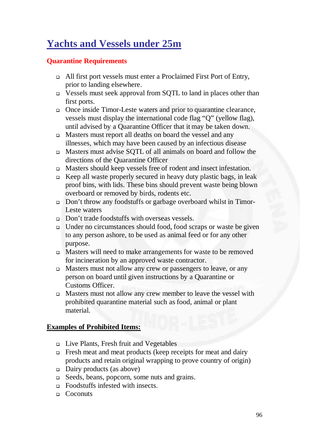### **Yachts and Vessels under 25m**

#### **Quarantine Requirements**

- All first port vessels must enter a Proclaimed First Port of Entry, prior to landing elsewhere.
- Vessels must seek approval from SQTL to land in places other than first ports.
- Once inside Timor-Leste waters and prior to quarantine clearance, vessels must display the international code flag "Q" (yellow flag), until advised by a Quarantine Officer that it may be taken down.
- Masters must report all deaths on board the vessel and any illnesses, which may have been caused by an infectious disease
- Masters must advise SQTL of all animals on board and follow the directions of the Quarantine Officer
- Masters should keep vessels free of rodent and insect infestation.
- Keep all waste properly secured in heavy duty plastic bags, in leak proof bins, with lids. These bins should prevent waste being blown overboard or removed by birds, rodents etc.
- Don't throw any foodstuffs or garbage overboard whilst in Timor-Leste waters
- □ Don't trade foodstuffs with overseas vessels.
- Under no circumstances should food, food scraps or waste be given to any person ashore, to be used as animal feed or for any other purpose.
- Masters will need to make arrangements for waste to be removed for incineration by an approved waste contractor.
- Masters must not allow any crew or passengers to leave, or any person on board until given instructions by a Quarantine or Customs Officer.
- Masters must not allow any crew member to leave the vessel with prohibited quarantine material such as food, animal or plant material.

#### **Examples of Prohibited Items:**

- Live Plants, Fresh fruit and Vegetables
- $\Box$  Fresh meat and meat products (keep receipts for meat and dairy products and retain original wrapping to prove country of origin)
- $\Box$  Dairy products (as above)
- Seeds, beans, popcorn, some nuts and grains.
- Foodstuffs infested with insects.
- □ Coconuts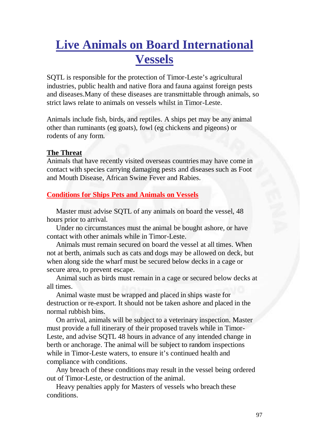## **Live Animals on Board International Vessels**

SQTL is responsible for the protection of Timor-Leste's agricultural industries, public health and native flora and fauna against foreign pests and diseases.Many of these diseases are transmittable through animals, so strict laws relate to animals on vessels whilst in Timor-Leste.

Animals include fish, birds, and reptiles. A ships pet may be any animal other than ruminants (eg goats), fowl (eg chickens and pigeons) or rodents of any form.

#### **The Threat**

Animals that have recently visited overseas countries may have come in contact with species carrying damaging pests and diseases such as Foot and Mouth Disease, African Swine Fever and Rabies.

#### **Conditions for Ships Pets and Animals on Vessels**

 Master must advise SQTL of any animals on board the vessel, 48 hours prior to arrival.

 Under no circumstances must the animal be bought ashore, or have contact with other animals while in Timor-Leste.

 Animals must remain secured on board the vessel at all times. When not at berth, animals such as cats and dogs may be allowed on deck, but when along side the wharf must be secured below decks in a cage or secure area, to prevent escape.

 Animal such as birds must remain in a cage or secured below decks at all times.

 Animal waste must be wrapped and placed in ships waste for destruction or re-export. It should not be taken ashore and placed in the normal rubbish bins.

 On arrival, animals will be subject to a veterinary inspection. Master must provide a full itinerary of their proposed travels while in Timor-Leste, and advise SQTL 48 hours in advance of any intended change in berth or anchorage. The animal will be subject to random inspections while in Timor-Leste waters, to ensure it's continued health and compliance with conditions.

 Any breach of these conditions may result in the vessel being ordered out of Timor-Leste, or destruction of the animal.

 Heavy penalties apply for Masters of vessels who breach these conditions.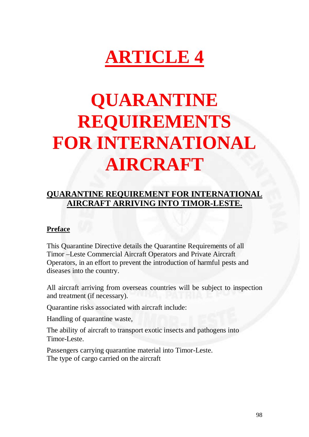# **ARTICLE 4**

# **QUARANTINE REQUIREMENTS FOR INTERNATIONAL AIRCRAFT**

### **QUARANTINE REQUIREMENT FOR INTERNATIONAL AIRCRAFT ARRIVING INTO TIMOR-LESTE.**

#### **Preface**

This Quarantine Directive details the Quarantine Requirements of all Timor –Leste Commercial Aircraft Operators and Private Aircraft Operators, in an effort to prevent the introduction of harmful pests and diseases into the country.

All aircraft arriving from overseas countries will be subject to inspection and treatment (if necessary).

Quarantine risks associated with aircraft include:

Handling of quarantine waste,

The ability of aircraft to transport exotic insects and pathogens into Timor-Leste.

Passengers carrying quarantine material into Timor-Leste. The type of cargo carried on the aircraft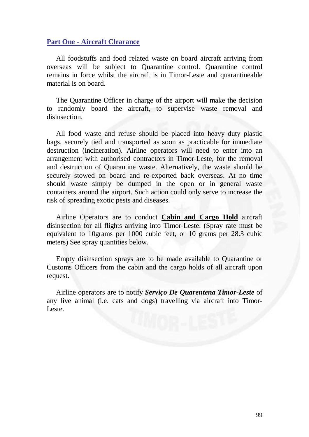#### **Part One - Aircraft Clearance**

 All foodstuffs and food related waste on board aircraft arriving from overseas will be subject to Quarantine control. Quarantine control remains in force whilst the aircraft is in Timor-Leste and quarantineable material is on board.

 The Quarantine Officer in charge of the airport will make the decision to randomly board the aircraft, to supervise waste removal and disinsection.

 All food waste and refuse should be placed into heavy duty plastic bags, securely tied and transported as soon as practicable for immediate destruction (incineration). Airline operators will need to enter into an arrangement with authorised contractors in Timor-Leste, for the removal and destruction of Quarantine waste. Alternatively, the waste should be securely stowed on board and re-exported back overseas. At no time should waste simply be dumped in the open or in general waste containers around the airport. Such action could only serve to increase the risk of spreading exotic pests and diseases.

 Airline Operators are to conduct **Cabin and Cargo Hold** aircraft disinsection for all flights arriving into Timor-Leste. (Spray rate must be equivalent to 10grams per 1000 cubic feet, or 10 grams per 28.3 cubic meters) See spray quantities below.

 Empty disinsection sprays are to be made available to Quarantine or Customs Officers from the cabin and the cargo holds of all aircraft upon request.

 Airline operators are to notify *Serviço De Quarentena Timor-Leste* of any live animal (i.e. cats and dogs) travelling via aircraft into Timor-Leste.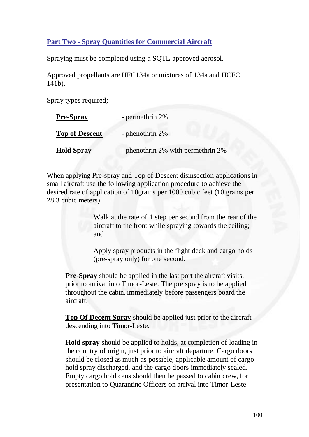#### **Part Two - Spray Quantities for Commercial Aircraft**

Spraying must be completed using a SQTL approved aerosol.

Approved propellants are HFC134a or mixtures of 134a and HCFC 141b).

Spray types required;

| <b>Pre-Spray</b>      | - permethrin 2%                    |
|-----------------------|------------------------------------|
| <b>Top of Descent</b> | - phenothrin 2%                    |
| <b>Hold Spray</b>     | - phenothrin 2% with permethrin 2% |

When applying Pre-spray and Top of Descent disinsection applications in small aircraft use the following application procedure to achieve the desired rate of application of 10grams per 1000 cubic feet (10 grams per 28.3 cubic meters):

> Walk at the rate of 1 step per second from the rear of the aircraft to the front while spraying towards the ceiling; and

Apply spray products in the flight deck and cargo holds (pre-spray only) for one second.

**Pre-Spray** should be applied in the last port the aircraft visits, prior to arrival into Timor-Leste. The pre spray is to be applied throughout the cabin, immediately before passengers board the aircraft.

**Top Of Decent Spray** should be applied just prior to the aircraft descending into Timor-Leste.

**Hold spray** should be applied to holds, at completion of loading in the country of origin, just prior to aircraft departure. Cargo doors should be closed as much as possible, applicable amount of cargo hold spray discharged, and the cargo doors immediately sealed. Empty cargo hold cans should then be passed to cabin crew, for presentation to Quarantine Officers on arrival into Timor-Leste.